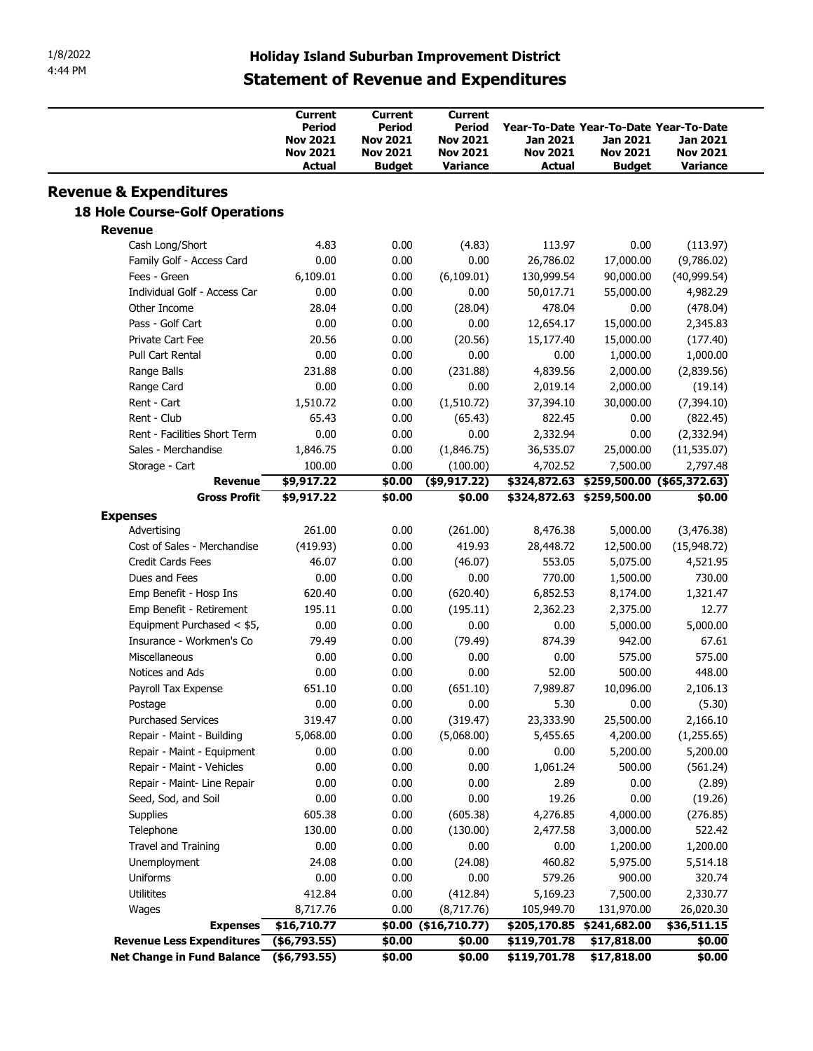| 1/8/2022<br>4:44 PM                       | <b>Holiday Island Suburban Improvement District</b><br><b>Statement of Revenue and Expenditures</b> |                                                                                        |                                                                                   |                                                                                 |                                              |                                         |
|-------------------------------------------|-----------------------------------------------------------------------------------------------------|----------------------------------------------------------------------------------------|-----------------------------------------------------------------------------------|---------------------------------------------------------------------------------|----------------------------------------------|-----------------------------------------|
|                                           |                                                                                                     |                                                                                        |                                                                                   |                                                                                 |                                              |                                         |
|                                           | <b>Current</b><br>Period<br><b>Nov 2021</b><br><b>Nov 2021</b><br>Actual                            | <b>Current</b><br><b>Period</b><br><b>Nov 2021</b><br><b>Nov 2021</b><br><b>Budget</b> | <b>Current</b><br><b>Period</b><br><b>Nov 2021</b><br><b>Nov 2021</b><br>Variance | Year-To-Date Year-To-Date Year-To-Date<br>Jan 2021<br><b>Nov 2021</b><br>Actual | Jan 2021<br><b>Nov 2021</b><br><b>Budget</b> | Jan 2021<br><b>Nov 2021</b><br>Variance |
| <b>Revenue &amp; Expenditures</b>         |                                                                                                     |                                                                                        |                                                                                   |                                                                                 |                                              |                                         |
| <b>18 Hole Course-Golf Operations</b>     |                                                                                                     |                                                                                        |                                                                                   |                                                                                 |                                              |                                         |
| <b>Revenue</b>                            |                                                                                                     |                                                                                        |                                                                                   |                                                                                 |                                              |                                         |
| Cash Long/Short                           | 4.83                                                                                                | 0.00                                                                                   | (4.83)                                                                            | 113.97                                                                          | 0.00                                         | (113.97)                                |
| Family Golf - Access Card<br>Fees - Green | 0.00<br>6,109.01                                                                                    | 0.00<br>0.00                                                                           | 0.00<br>(6,109.01)                                                                | 26,786.02<br>130,999.54                                                         | 17,000.00<br>90,000.00                       | (9,786.02)<br>(40,999.54)               |
| Individual Golf - Access Car              | 0.00                                                                                                | 0.00                                                                                   | 0.00                                                                              | 50,017.71                                                                       | 55,000.00                                    | 4,982.29                                |
| Other Income                              | 28.04                                                                                               | 0.00                                                                                   | (28.04)                                                                           | 478.04                                                                          | 0.00                                         | (478.04)                                |
| Pass - Golf Cart                          | 0.00                                                                                                | 0.00                                                                                   | 0.00                                                                              | 12,654.17                                                                       | 15,000.00                                    | 2,345.83                                |
| Private Cart Fee                          | 20.56                                                                                               | 0.00                                                                                   | (20.56)                                                                           | 15,177.40                                                                       | 15,000.00                                    | (177.40)                                |
| Pull Cart Rental                          | 0.00                                                                                                | 0.00                                                                                   | 0.00                                                                              | 0.00                                                                            | 1,000.00                                     | 1,000.00                                |
| Range Balls                               | 231.88                                                                                              | 0.00                                                                                   | (231.88)                                                                          | 4,839.56                                                                        | 2,000.00                                     | (2,839.56)                              |
| Range Card                                | 0.00                                                                                                | 0.00                                                                                   | 0.00                                                                              | 2,019.14                                                                        | 2,000.00                                     | (19.14)                                 |
| Rent - Cart                               | 1,510.72                                                                                            | 0.00                                                                                   | (1,510.72)                                                                        | 37,394.10                                                                       | 30,000.00                                    | (7, 394.10)                             |
| Rent - Club                               | 65.43                                                                                               | 0.00                                                                                   | (65.43)                                                                           | 822.45                                                                          | 0.00                                         | (822.45)                                |
| Rent - Facilities Short Term              | 0.00                                                                                                | 0.00                                                                                   | 0.00                                                                              | 2,332.94                                                                        | 0.00                                         | (2,332.94)                              |
| Sales - Merchandise                       | 1,846.75                                                                                            | 0.00                                                                                   | (1,846.75)                                                                        | 36,535.07                                                                       | 25,000.00                                    | (11, 535.07)                            |
| Storage - Cart                            | 100.00                                                                                              | 0.00                                                                                   | (100.00)                                                                          | 4,702.52                                                                        | 7,500.00                                     | 2,797.48                                |
| <b>Revenue</b>                            | \$9,917.22                                                                                          | \$0.00                                                                                 | $(*9,917.22)$                                                                     |                                                                                 | \$324,872.63 \$259,500.00 (\$65,372.63)      |                                         |
| <b>Gross Profit</b>                       | \$9,917.22                                                                                          | \$0.00                                                                                 | \$0.00                                                                            |                                                                                 | \$324,872.63 \$259,500.00                    | \$0.00                                  |
| <b>Expenses</b>                           |                                                                                                     |                                                                                        |                                                                                   |                                                                                 |                                              |                                         |
| Advertising                               | 261.00                                                                                              | 0.00                                                                                   | (261.00)                                                                          | 8,476.38                                                                        | 5,000.00                                     | (3, 476.38)                             |
| Cost of Sales - Merchandise               | (419.93)                                                                                            | 0.00                                                                                   | 419.93                                                                            | 28,448.72                                                                       | 12,500.00                                    | (15,948.72)                             |
| Credit Cards Fees                         | 46.07                                                                                               | 0.00                                                                                   | (46.07)                                                                           | 553.05                                                                          | 5,075.00                                     | 4,521.95                                |
| Dues and Fees                             | 0.00                                                                                                | 0.00                                                                                   | 0.00                                                                              | 770.00                                                                          | 1,500.00                                     | 730.00                                  |
| Emp Benefit - Hosp Ins                    | 620.40                                                                                              | 0.00                                                                                   | (620.40)                                                                          | 6,852.53                                                                        | 8,174.00                                     | 1,321.47                                |
| Emp Benefit - Retirement                  | 195.11                                                                                              | 0.00                                                                                   | (195.11)                                                                          | 2,362.23                                                                        | 2,375.00                                     | 12.77                                   |
| Equipment Purchased < \$5,                | 0.00                                                                                                | 0.00                                                                                   | 0.00                                                                              | 0.00                                                                            | 5,000.00                                     | 5,000.00                                |
|                                           | 79.49                                                                                               | 0.00                                                                                   | (79.49)                                                                           | 874.39                                                                          | 942.00                                       | 67.61                                   |
| Insurance - Workmen's Co                  | 0.00                                                                                                | 0.00                                                                                   | 0.00                                                                              | 0.00                                                                            | 575.00                                       | 575.00                                  |
| Miscellaneous                             |                                                                                                     | 0.00                                                                                   | 0.00                                                                              | 52.00                                                                           | 500.00                                       | 448.00                                  |
| Notices and Ads                           | 0.00                                                                                                |                                                                                        | (651.10)                                                                          | 7,989.87                                                                        | 10,096.00                                    | 2,106.13                                |
| Payroll Tax Expense                       | 651.10                                                                                              | 0.00                                                                                   |                                                                                   |                                                                                 |                                              |                                         |
| Postage                                   | 0.00                                                                                                | 0.00                                                                                   | 0.00                                                                              | 5.30                                                                            | 0.00                                         | (5.30)                                  |
| <b>Purchased Services</b>                 | 319.47                                                                                              | 0.00                                                                                   | (319.47)                                                                          | 23,333.90                                                                       | 25,500.00                                    | 2,166.10                                |
| Repair - Maint - Building                 | 5,068.00                                                                                            | 0.00                                                                                   | (5,068.00)                                                                        | 5,455.65                                                                        | 4,200.00                                     | (1, 255.65)                             |
| Repair - Maint - Equipment                | 0.00                                                                                                | 0.00                                                                                   | 0.00                                                                              | 0.00                                                                            | 5,200.00                                     | 5,200.00                                |
| Repair - Maint - Vehicles                 | 0.00                                                                                                | 0.00                                                                                   | 0.00                                                                              | 1,061.24                                                                        | 500.00                                       | (561.24)                                |
| Repair - Maint- Line Repair               | 0.00                                                                                                | 0.00                                                                                   | 0.00                                                                              | 2.89                                                                            | 0.00                                         | (2.89)                                  |
| Seed, Sod, and Soil                       | 0.00                                                                                                | 0.00                                                                                   | 0.00                                                                              | 19.26                                                                           | 0.00                                         | (19.26)                                 |
| Supplies                                  | 605.38                                                                                              | 0.00                                                                                   | (605.38)                                                                          | 4,276.85                                                                        | 4,000.00                                     | (276.85)                                |
| Telephone                                 | 130.00                                                                                              | 0.00                                                                                   | (130.00)                                                                          | 2,477.58                                                                        | 3,000.00                                     | 522.42                                  |
| Travel and Training                       | 0.00                                                                                                | 0.00                                                                                   | 0.00                                                                              | 0.00                                                                            | 1,200.00                                     | 1,200.00                                |
| Unemployment                              | 24.08                                                                                               | 0.00                                                                                   | (24.08)                                                                           | 460.82                                                                          | 5,975.00                                     | 5,514.18                                |
| Uniforms                                  | 0.00                                                                                                | 0.00                                                                                   | 0.00                                                                              | 579.26                                                                          | 900.00                                       | 320.74                                  |
| <b>Utilitites</b>                         | 412.84                                                                                              | 0.00                                                                                   | (412.84)                                                                          | 5,169.23                                                                        | 7,500.00                                     | 2,330.77                                |
| Wages                                     | 8,717.76                                                                                            | 0.00                                                                                   | (8,717.76)                                                                        | 105,949.70                                                                      | 131,970.00                                   | 26,020.30                               |
|                                           | Expenses \$16,710.77                                                                                |                                                                                        | $$0.00$ (\$16,710.77)                                                             |                                                                                 | \$205,170.85 \$241,682.00                    | \$36,511.15                             |
| Revenue Less Expenditures (\$6,793.55)    |                                                                                                     | \$0.00                                                                                 | \$0.00                                                                            | \$119,701.78                                                                    | \$17,818.00                                  | \$0.00                                  |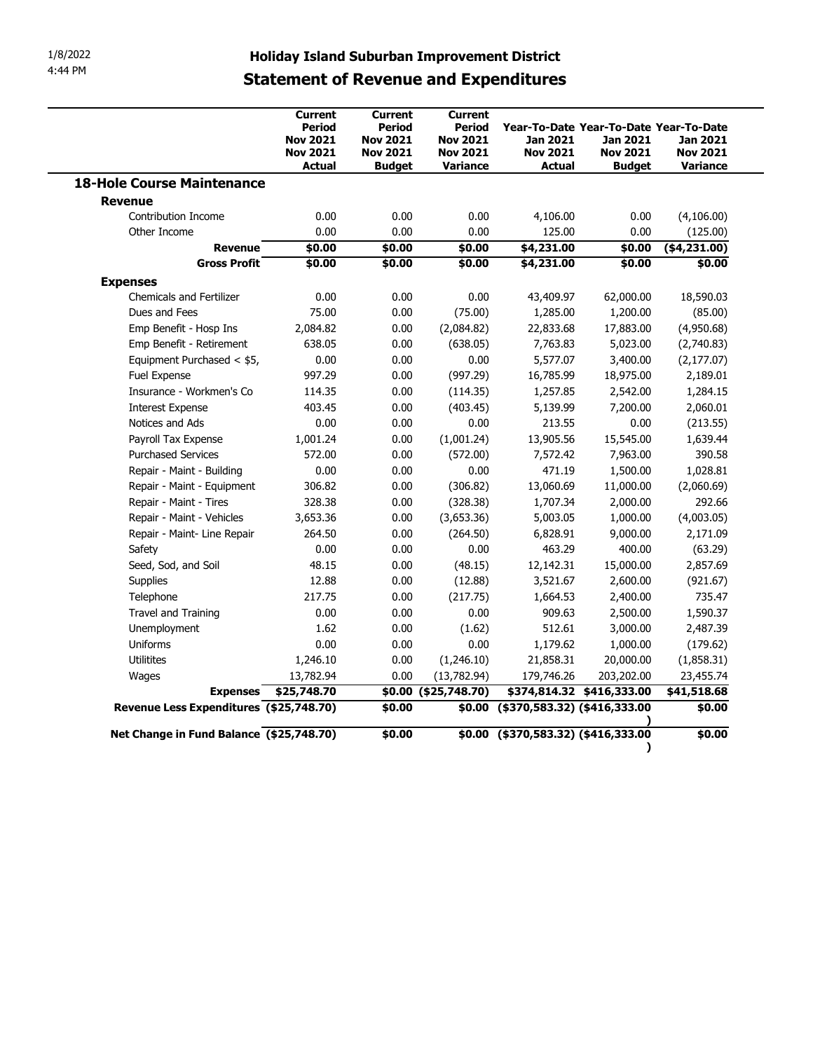|                                          |                                                                                 |                                                                          | <b>Statement of Revenue and Expenditures</b>                               | <b>Holiday Island Suburban Improvement District</b>                                           |                                              |                                         |
|------------------------------------------|---------------------------------------------------------------------------------|--------------------------------------------------------------------------|----------------------------------------------------------------------------|-----------------------------------------------------------------------------------------------|----------------------------------------------|-----------------------------------------|
|                                          | <b>Current</b><br>Period<br><b>Nov 2021</b><br><b>Nov 2021</b><br><b>Actual</b> | Current<br>Period<br><b>Nov 2021</b><br><b>Nov 2021</b><br><b>Budget</b> | <b>Current</b><br>Period<br><b>Nov 2021</b><br><b>Nov 2021</b><br>Variance | Year-To-Date Year-To-Date Year-To-Date<br><b>Jan 2021</b><br><b>Nov 2021</b><br><b>Actual</b> | Jan 2021<br><b>Nov 2021</b><br><b>Budget</b> | Jan 2021<br><b>Nov 2021</b><br>Variance |
| <b>18-Hole Course Maintenance</b>        |                                                                                 |                                                                          |                                                                            |                                                                                               |                                              |                                         |
| <b>Revenue</b>                           |                                                                                 |                                                                          |                                                                            |                                                                                               |                                              |                                         |
| Contribution Income                      | 0.00                                                                            | 0.00                                                                     | 0.00                                                                       | 4,106.00                                                                                      | 0.00                                         | (4, 106.00)                             |
| Other Income                             | 0.00                                                                            | 0.00                                                                     | 0.00                                                                       | 125.00                                                                                        | 0.00                                         | (125.00)                                |
| <b>Revenue</b>                           | \$0.00                                                                          | \$0.00                                                                   | \$0.00                                                                     | \$4,231.00                                                                                    | \$0.00                                       | $(*4,231.00)$                           |
| <b>Gross Profit</b>                      | \$0.00                                                                          | \$0.00                                                                   | \$0.00                                                                     | \$4,231.00                                                                                    | \$0.00                                       | \$0.00                                  |
| <b>Expenses</b>                          |                                                                                 |                                                                          |                                                                            |                                                                                               |                                              |                                         |
| Chemicals and Fertilizer                 | 0.00                                                                            | 0.00                                                                     | 0.00                                                                       | 43,409.97                                                                                     | 62,000.00                                    | 18,590.03                               |
| Dues and Fees                            | 75.00                                                                           | 0.00                                                                     | (75.00)                                                                    | 1,285.00                                                                                      | 1,200.00                                     | (85.00)                                 |
| Emp Benefit - Hosp Ins                   | 2,084.82                                                                        | 0.00                                                                     | (2,084.82)                                                                 | 22,833.68                                                                                     | 17,883.00                                    | (4,950.68)                              |
| Emp Benefit - Retirement                 | 638.05                                                                          | 0.00                                                                     | (638.05)                                                                   | 7,763.83                                                                                      | 5,023.00                                     | (2,740.83)                              |
| Equipment Purchased < \$5,               | 0.00                                                                            | 0.00                                                                     | 0.00                                                                       | 5,577.07                                                                                      | 3,400.00                                     | (2, 177.07)                             |
| Fuel Expense                             | 997.29                                                                          | 0.00                                                                     | (997.29)                                                                   | 16,785.99                                                                                     | 18,975.00                                    | 2,189.01                                |
| Insurance - Workmen's Co                 | 114.35                                                                          | 0.00                                                                     | (114.35)                                                                   | 1,257.85                                                                                      | 2,542.00                                     | 1,284.15                                |
| <b>Interest Expense</b>                  | 403.45                                                                          | 0.00                                                                     | (403.45)                                                                   | 5,139.99                                                                                      | 7,200.00                                     | 2,060.01                                |
| Notices and Ads                          | 0.00                                                                            | 0.00                                                                     | 0.00                                                                       | 213.55                                                                                        | 0.00                                         | (213.55)                                |
| Payroll Tax Expense                      | 1,001.24                                                                        | 0.00                                                                     | (1,001.24)                                                                 | 13,905.56                                                                                     | 15,545.00                                    | 1,639.44                                |
| <b>Purchased Services</b>                | 572.00                                                                          | 0.00                                                                     | (572.00)                                                                   | 7,572.42                                                                                      | 7,963.00                                     | 390.58                                  |
| Repair - Maint - Building                | 0.00                                                                            | 0.00                                                                     | 0.00                                                                       | 471.19                                                                                        | 1,500.00                                     | 1,028.81                                |
| Repair - Maint - Equipment               | 306.82                                                                          | 0.00                                                                     | (306.82)                                                                   | 13,060.69                                                                                     | 11,000.00                                    | (2,060.69)                              |
| Repair - Maint - Tires                   | 328.38                                                                          | 0.00                                                                     | (328.38)                                                                   | 1,707.34                                                                                      | 2,000.00                                     | 292.66                                  |
| Repair - Maint - Vehicles                | 3,653.36                                                                        | 0.00                                                                     | (3,653.36)                                                                 | 5,003.05                                                                                      | 1,000.00                                     | (4,003.05)                              |
| Repair - Maint- Line Repair              | 264.50                                                                          | 0.00                                                                     | (264.50)                                                                   | 6,828.91                                                                                      | 9,000.00                                     | 2,171.09                                |
| Safety                                   | 0.00                                                                            | 0.00                                                                     | 0.00                                                                       | 463.29                                                                                        | 400.00                                       | (63.29)                                 |
| Seed, Sod, and Soil                      | 48.15                                                                           | 0.00                                                                     | (48.15)                                                                    | 12,142.31                                                                                     | 15,000.00                                    | 2,857.69                                |
| Supplies                                 | 12.88                                                                           | 0.00                                                                     | (12.88)                                                                    | 3,521.67                                                                                      | 2,600.00                                     | (921.67)                                |
| Telephone                                | 217.75                                                                          | 0.00                                                                     | (217.75)                                                                   | 1,664.53                                                                                      | 2,400.00                                     | 735.47                                  |
| Travel and Training                      | 0.00                                                                            | 0.00                                                                     | 0.00                                                                       | 909.63                                                                                        | 2,500.00                                     | 1,590.37                                |
| Unemployment                             | 1.62                                                                            | 0.00                                                                     | (1.62)                                                                     | 512.61                                                                                        | 3,000.00                                     | 2,487.39                                |
| Uniforms                                 | 0.00                                                                            | 0.00                                                                     | 0.00                                                                       | 1,179.62                                                                                      | 1,000.00                                     | (179.62)                                |
| Utilitites                               | 1,246.10                                                                        | 0.00                                                                     | (1,246.10)                                                                 | 21,858.31                                                                                     | 20,000.00                                    | (1,858.31)                              |
| Wages                                    | 13,782.94                                                                       | 0.00                                                                     | (13,782.94)                                                                | 179,746.26                                                                                    | 203,202.00                                   | 23,455.74                               |
| Expenses \$25,748.70                     |                                                                                 |                                                                          | \$0.00 (\$25,748.70)                                                       | \$374,814.32 \$416,333.00                                                                     |                                              | \$41,518.68                             |
| Revenue Less Expenditures (\$25,748.70)  |                                                                                 | \$0.00                                                                   |                                                                            | \$0.00 (\$370,583.32) (\$416,333.00                                                           |                                              | \$0.00                                  |
| Net Change in Fund Balance (\$25,748.70) |                                                                                 | \$0.00                                                                   |                                                                            | $$0.00$ (\$370,583.32) (\$416,333.00                                                          |                                              | \$0.00                                  |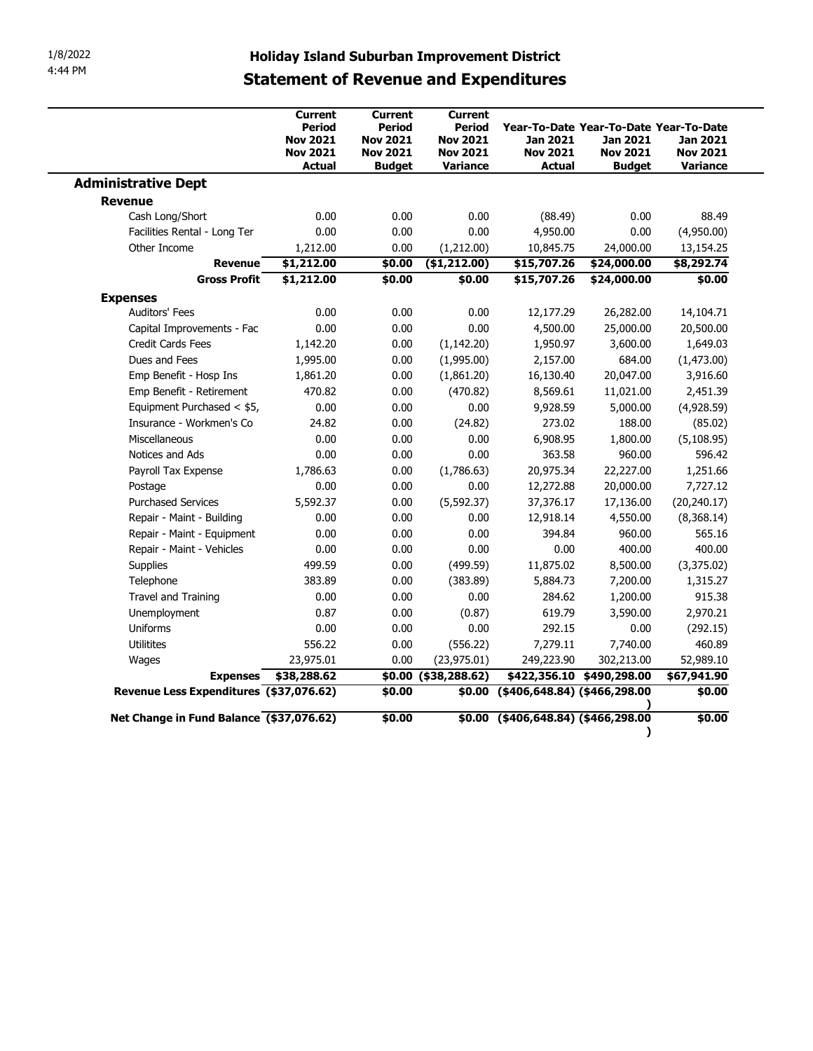|                                          | <b>Holiday Island Suburban Improvement District</b><br><b>Statement of Revenue and Expenditures</b> |                                                                                 |                                                                            |                                              |                                                                                        |                                         |
|------------------------------------------|-----------------------------------------------------------------------------------------------------|---------------------------------------------------------------------------------|----------------------------------------------------------------------------|----------------------------------------------|----------------------------------------------------------------------------------------|-----------------------------------------|
|                                          | Current<br><b>Period</b><br><b>Nov 2021</b><br><b>Nov 2021</b><br><b>Actual</b>                     | Current<br><b>Period</b><br><b>Nov 2021</b><br><b>Nov 2021</b><br><b>Budget</b> | Current<br><b>Period</b><br><b>Nov 2021</b><br><b>Nov 2021</b><br>Variance | Jan 2021<br><b>Nov 2021</b><br><b>Actual</b> | Year-To-Date Year-To-Date Year-To-Date<br>Jan 2021<br><b>Nov 2021</b><br><b>Budget</b> | Jan 2021<br><b>Nov 2021</b><br>Variance |
| <b>Administrative Dept</b>               |                                                                                                     |                                                                                 |                                                                            |                                              |                                                                                        |                                         |
| <b>Revenue</b>                           |                                                                                                     |                                                                                 |                                                                            |                                              |                                                                                        |                                         |
| Cash Long/Short                          | 0.00                                                                                                | 0.00                                                                            | 0.00                                                                       | (88.49)                                      | 0.00                                                                                   | 88.49                                   |
| Facilities Rental - Long Ter             | 0.00                                                                                                | 0.00                                                                            | 0.00                                                                       | 4,950.00                                     | 0.00                                                                                   | (4,950.00)                              |
| Other Income                             | 1,212.00                                                                                            | 0.00                                                                            | (1,212.00)                                                                 | 10,845.75                                    | 24,000.00                                                                              | 13,154.25                               |
| <b>Revenue</b>                           | \$1,212.00                                                                                          | \$0.00                                                                          | ( \$1, 212.00)                                                             | \$15,707.26                                  | \$24,000.00                                                                            | \$8,292.74                              |
| <b>Gross Profit</b>                      | \$1,212.00                                                                                          | \$0.00                                                                          | \$0.00                                                                     | \$15,707.26                                  | \$24,000.00                                                                            | \$0.00                                  |
| <b>Expenses</b>                          |                                                                                                     |                                                                                 |                                                                            |                                              |                                                                                        |                                         |
| <b>Auditors' Fees</b>                    | 0.00                                                                                                | 0.00                                                                            | 0.00                                                                       | 12,177.29                                    | 26,282.00                                                                              | 14,104.71                               |
| Capital Improvements - Fac               | 0.00                                                                                                | 0.00                                                                            | 0.00                                                                       | 4,500.00                                     | 25,000.00                                                                              | 20,500.00                               |
| <b>Credit Cards Fees</b>                 | 1,142.20                                                                                            | 0.00                                                                            | (1, 142.20)                                                                | 1,950.97                                     | 3,600.00                                                                               | 1,649.03                                |
| Dues and Fees                            | 1,995.00                                                                                            | 0.00                                                                            | (1,995.00)                                                                 | 2,157.00                                     | 684.00                                                                                 | (1,473.00)                              |
| Emp Benefit - Hosp Ins                   | 1,861.20                                                                                            | 0.00                                                                            | (1,861.20)                                                                 | 16,130.40                                    | 20,047.00                                                                              | 3,916.60                                |
| Emp Benefit - Retirement                 | 470.82                                                                                              | 0.00                                                                            | (470.82)                                                                   | 8,569.61                                     | 11,021.00                                                                              | 2,451.39                                |
| Equipment Purchased < \$5,               | 0.00                                                                                                | 0.00                                                                            | 0.00                                                                       | 9,928.59                                     | 5,000.00                                                                               | (4,928.59)                              |
| Insurance - Workmen's Co                 | 24.82                                                                                               | 0.00                                                                            | (24.82)                                                                    | 273.02                                       | 188.00                                                                                 | (85.02)                                 |
| Miscellaneous                            | 0.00                                                                                                | 0.00                                                                            | 0.00                                                                       | 6,908.95                                     | 1,800.00                                                                               | (5, 108.95)                             |
| Notices and Ads                          | 0.00                                                                                                | 0.00                                                                            | 0.00                                                                       | 363.58                                       | 960.00                                                                                 | 596.42                                  |
| Payroll Tax Expense                      | 1,786.63                                                                                            | 0.00                                                                            | (1,786.63)                                                                 | 20,975.34                                    | 22,227.00                                                                              | 1,251.66                                |
| Postage                                  | 0.00                                                                                                | 0.00                                                                            | 0.00                                                                       | 12,272.88                                    | 20,000.00                                                                              | 7,727.12                                |
| <b>Purchased Services</b>                | 5,592.37                                                                                            | 0.00                                                                            | (5, 592.37)                                                                | 37,376.17                                    | 17,136.00                                                                              | (20, 240.17)                            |
| Repair - Maint - Building                | 0.00                                                                                                | 0.00                                                                            | 0.00                                                                       | 12,918.14                                    | 4,550.00                                                                               | (8,368.14)                              |
| Repair - Maint - Equipment               | 0.00                                                                                                | 0.00                                                                            | 0.00                                                                       | 394.84                                       | 960.00                                                                                 | 565.16                                  |
| Repair - Maint - Vehicles                | 0.00                                                                                                | 0.00                                                                            | 0.00                                                                       | 0.00                                         | 400.00                                                                                 | 400.00                                  |
| Supplies                                 | 499.59                                                                                              | 0.00                                                                            | (499.59)                                                                   | 11,875.02                                    | 8,500.00                                                                               | (3,375.02)                              |
| Telephone<br>Travel and Training         | 383.89<br>0.00                                                                                      | 0.00<br>0.00                                                                    | (383.89)<br>0.00                                                           | 5,884.73<br>284.62                           | 7,200.00<br>1,200.00                                                                   | 1,315.27<br>915.38                      |
| Unemployment                             | 0.87                                                                                                | 0.00                                                                            | (0.87)                                                                     | 619.79                                       | 3,590.00                                                                               | 2,970.21                                |
| Uniforms                                 | 0.00                                                                                                | 0.00                                                                            | 0.00                                                                       | 292.15                                       | 0.00                                                                                   | (292.15)                                |
| Utilitites                               | 556.22                                                                                              | 0.00                                                                            | (556.22)                                                                   | 7,279.11                                     | 7,740.00                                                                               | 460.89                                  |
|                                          | 23,975.01                                                                                           | 0.00                                                                            | (23, 975.01)                                                               | 249,223.90                                   | 302,213.00                                                                             | 52,989.10                               |
| Wages                                    | Expenses \$38,288.62                                                                                |                                                                                 | \$0.00 (\$38,288.62)                                                       |                                              | \$422,356.10 \$490,298.00                                                              | \$67,941.90                             |
| Revenue Less Expenditures (\$37,076.62)  |                                                                                                     | \$0.00                                                                          |                                                                            | \$0.00 (\$406,648.84) (\$466,298.00          |                                                                                        | \$0.00                                  |
|                                          |                                                                                                     |                                                                                 |                                                                            |                                              |                                                                                        |                                         |
| Net Change in Fund Balance (\$37,076.62) |                                                                                                     | \$0.00                                                                          |                                                                            | \$0.00 (\$406,648.84) (\$466,298.00          |                                                                                        | \$0.00                                  |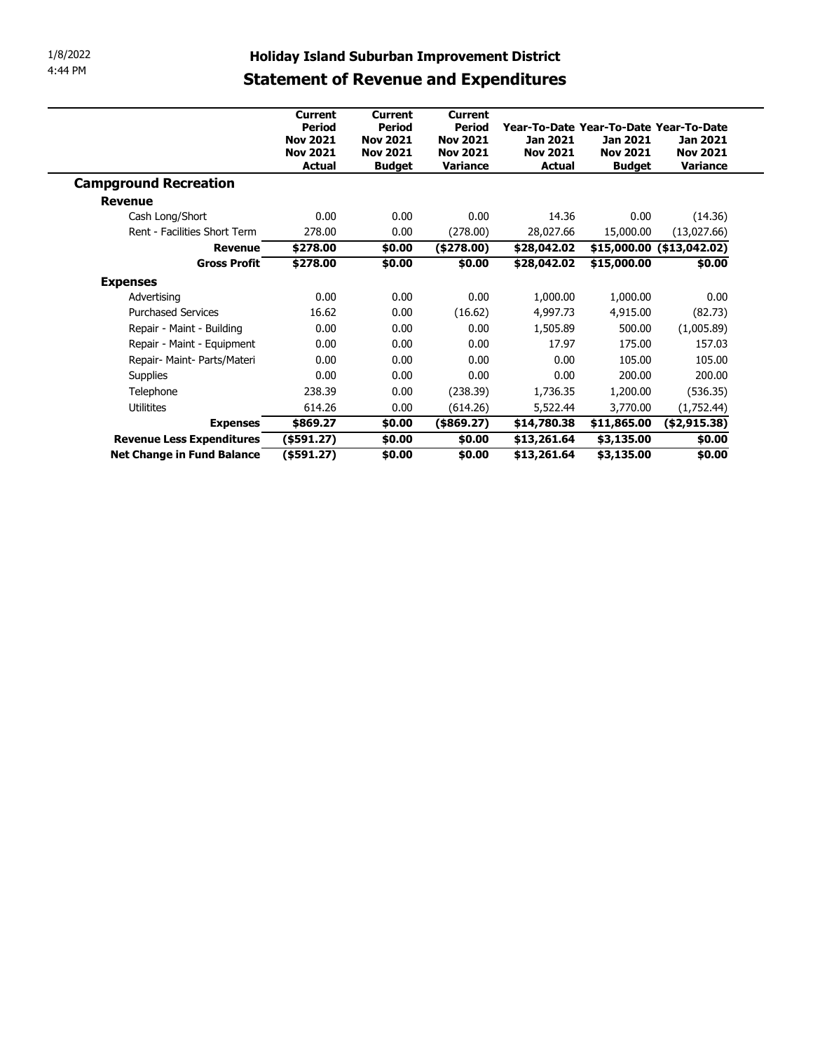| 1/8/2022<br>4:44 PM |                                              | <b>Holiday Island Suburban Improvement District</b>                             |                                                                                 |                                                                            |                                                                                        |                                              |                                                       |  |  |  |  |  |
|---------------------|----------------------------------------------|---------------------------------------------------------------------------------|---------------------------------------------------------------------------------|----------------------------------------------------------------------------|----------------------------------------------------------------------------------------|----------------------------------------------|-------------------------------------------------------|--|--|--|--|--|
|                     | <b>Statement of Revenue and Expenditures</b> |                                                                                 |                                                                                 |                                                                            |                                                                                        |                                              |                                                       |  |  |  |  |  |
|                     |                                              | <b>Current</b><br><b>Period</b><br><b>Nov 2021</b><br><b>Nov 2021</b><br>Actual | <b>Current</b><br>Period<br><b>Nov 2021</b><br><b>Nov 2021</b><br><b>Budget</b> | <b>Current</b><br>Period<br><b>Nov 2021</b><br><b>Nov 2021</b><br>Variance | Year-To-Date Year-To-Date Year-To-Date<br>Jan 2021<br><b>Nov 2021</b><br><b>Actual</b> | Jan 2021<br><b>Nov 2021</b><br><b>Budget</b> | <b>Jan 2021</b><br><b>Nov 2021</b><br><b>Variance</b> |  |  |  |  |  |
|                     | <b>Campground Recreation</b>                 |                                                                                 |                                                                                 |                                                                            |                                                                                        |                                              |                                                       |  |  |  |  |  |
|                     | <b>Revenue</b>                               |                                                                                 |                                                                                 |                                                                            |                                                                                        |                                              |                                                       |  |  |  |  |  |
|                     | Cash Long/Short                              | 0.00                                                                            | 0.00                                                                            | 0.00                                                                       | 14.36                                                                                  | 0.00                                         | (14.36)                                               |  |  |  |  |  |
|                     | Rent - Facilities Short Term                 | 278.00                                                                          | 0.00                                                                            | (278.00)                                                                   | 28,027.66                                                                              | 15,000.00                                    | (13,027.66)                                           |  |  |  |  |  |
|                     | <b>Revenue</b>                               | \$278.00                                                                        | \$0.00                                                                          | (\$278.00)                                                                 | \$28,042.02                                                                            |                                              | $$15,000.00$ (\$13,042.02)                            |  |  |  |  |  |
|                     | <b>Gross Profit</b>                          | \$278.00                                                                        | \$0.00                                                                          | \$0.00                                                                     | \$28,042.02                                                                            | \$15,000.00                                  | \$0.00                                                |  |  |  |  |  |
|                     | <b>Expenses</b>                              |                                                                                 |                                                                                 |                                                                            |                                                                                        |                                              |                                                       |  |  |  |  |  |
|                     | Advertising                                  | 0.00                                                                            | 0.00                                                                            | 0.00                                                                       | 1,000.00                                                                               | 1,000.00                                     | 0.00                                                  |  |  |  |  |  |
|                     | <b>Purchased Services</b>                    | 16.62                                                                           | 0.00                                                                            | (16.62)                                                                    | 4,997.73                                                                               | 4,915.00                                     | (82.73)                                               |  |  |  |  |  |
|                     | Repair - Maint - Building                    | 0.00                                                                            | 0.00                                                                            | 0.00                                                                       | 1,505.89                                                                               | 500.00                                       | (1,005.89)                                            |  |  |  |  |  |
|                     | Repair - Maint - Equipment                   | 0.00                                                                            | 0.00                                                                            | 0.00                                                                       | 17.97                                                                                  | 175.00                                       | 157.03                                                |  |  |  |  |  |
|                     | Repair- Maint- Parts/Materi                  | 0.00                                                                            | 0.00                                                                            | 0.00                                                                       | 0.00                                                                                   | 105.00                                       | 105.00                                                |  |  |  |  |  |
|                     | Supplies                                     | 0.00                                                                            | 0.00                                                                            | 0.00                                                                       | 0.00                                                                                   | 200.00                                       | 200.00                                                |  |  |  |  |  |
|                     | Telephone                                    | 238.39                                                                          | 0.00                                                                            | (238.39)                                                                   | 1,736.35                                                                               | 1,200.00                                     | (536.35)                                              |  |  |  |  |  |
|                     | <b>Utilitites</b>                            | 614.26                                                                          | 0.00                                                                            | (614.26)                                                                   | 5,522.44                                                                               | 3,770.00                                     | (1,752.44)                                            |  |  |  |  |  |
|                     | <b>Expenses</b>                              | \$869.27                                                                        | \$0.00                                                                          | $($ \$869.27 $)$                                                           | \$14,780.38                                                                            | \$11,865.00                                  | (\$2,915.38)                                          |  |  |  |  |  |
|                     | Revenue Less Expenditures                    | $($ \$591.27)                                                                   | $\sqrt{$0.00}$                                                                  | \$0.00                                                                     | \$13,261.64                                                                            | \$3,135.00                                   | \$0.00                                                |  |  |  |  |  |
|                     | <b>Net Change in Fund Balance</b>            | $($ \$591.27)                                                                   | \$0.00                                                                          | \$0.00                                                                     | \$13,261.64                                                                            | \$3,135.00                                   | \$0.00                                                |  |  |  |  |  |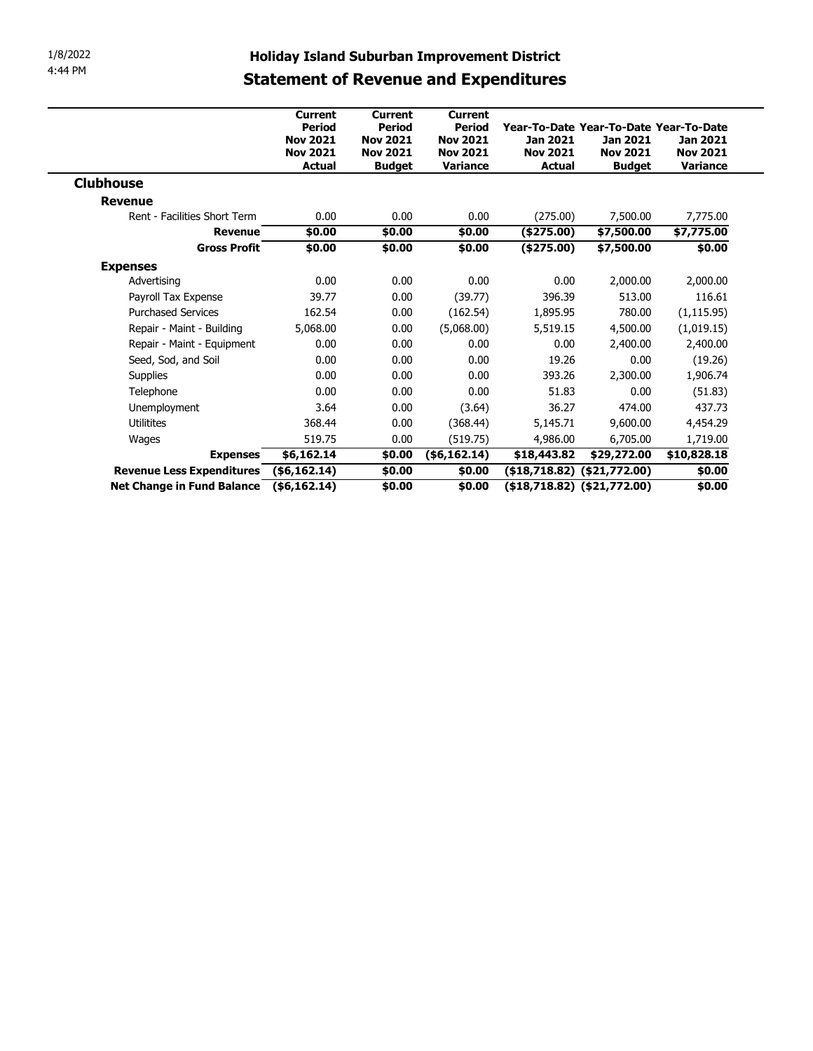| 1/8/2022<br>4:44 PM                     | <b>Holiday Island Suburban Improvement District</b><br><b>Statement of Revenue and Expenditures</b> |                                                               |                                                                      |                                                                 |                                                                                        |                                              |                                         |  |  |  |  |  |
|-----------------------------------------|-----------------------------------------------------------------------------------------------------|---------------------------------------------------------------|----------------------------------------------------------------------|-----------------------------------------------------------------|----------------------------------------------------------------------------------------|----------------------------------------------|-----------------------------------------|--|--|--|--|--|
|                                         |                                                                                                     | <b>Current</b>                                                | <b>Current</b>                                                       | <b>Current</b>                                                  |                                                                                        |                                              |                                         |  |  |  |  |  |
|                                         |                                                                                                     | Period<br><b>Nov 2021</b><br><b>Nov 2021</b><br><b>Actual</b> | <b>Period</b><br><b>Nov 2021</b><br><b>Nov 2021</b><br><b>Budget</b> | <b>Period</b><br><b>Nov 2021</b><br><b>Nov 2021</b><br>Variance | Year-To-Date Year-To-Date Year-To-Date<br>Jan 2021<br><b>Nov 2021</b><br><b>Actual</b> | Jan 2021<br><b>Nov 2021</b><br><b>Budget</b> | Jan 2021<br><b>Nov 2021</b><br>Variance |  |  |  |  |  |
| <b>Clubhouse</b>                        |                                                                                                     |                                                               |                                                                      |                                                                 |                                                                                        |                                              |                                         |  |  |  |  |  |
| <b>Revenue</b>                          |                                                                                                     |                                                               |                                                                      |                                                                 |                                                                                        |                                              |                                         |  |  |  |  |  |
| Rent - Facilities Short Term            |                                                                                                     | 0.00                                                          | 0.00                                                                 | 0.00                                                            | (275.00)                                                                               | 7,500.00                                     | 7,775.00                                |  |  |  |  |  |
|                                         | <b>Revenue</b>                                                                                      | \$0.00                                                        | \$0.00                                                               | \$0.00                                                          | (\$275.00)                                                                             | \$7,500.00                                   | \$7,775.00                              |  |  |  |  |  |
|                                         | <b>Gross Profit</b>                                                                                 | \$0.00                                                        | \$0.00                                                               | \$0.00                                                          | (\$275.00)                                                                             | \$7,500.00                                   | \$0.00                                  |  |  |  |  |  |
| <b>Expenses</b>                         |                                                                                                     |                                                               |                                                                      |                                                                 |                                                                                        |                                              |                                         |  |  |  |  |  |
| Advertising                             |                                                                                                     | 0.00                                                          | 0.00                                                                 | 0.00                                                            | 0.00                                                                                   | 2,000.00                                     | 2,000.00                                |  |  |  |  |  |
| Payroll Tax Expense                     |                                                                                                     | 39.77                                                         | 0.00                                                                 | (39.77)                                                         | 396.39                                                                                 | 513.00                                       | 116.61                                  |  |  |  |  |  |
| <b>Purchased Services</b>               |                                                                                                     | 162.54                                                        | 0.00                                                                 | (162.54)                                                        | 1,895.95                                                                               | 780.00                                       | (1, 115.95)                             |  |  |  |  |  |
| Repair - Maint - Building               |                                                                                                     | 5,068.00                                                      | 0.00                                                                 | (5,068.00)                                                      | 5,519.15                                                                               | 4,500.00                                     | (1,019.15)                              |  |  |  |  |  |
| Repair - Maint - Equipment              |                                                                                                     | 0.00                                                          | 0.00                                                                 | 0.00                                                            | 0.00                                                                                   | 2,400.00                                     | 2,400.00                                |  |  |  |  |  |
| Seed, Sod, and Soil                     |                                                                                                     | 0.00                                                          | 0.00                                                                 | 0.00                                                            | 19.26                                                                                  | 0.00                                         | (19.26)                                 |  |  |  |  |  |
| Supplies                                |                                                                                                     | 0.00                                                          | 0.00                                                                 | 0.00                                                            | 393.26                                                                                 | 2,300.00                                     | 1,906.74                                |  |  |  |  |  |
| Telephone                               |                                                                                                     | 0.00                                                          | 0.00                                                                 | 0.00                                                            | 51.83                                                                                  | 0.00                                         | (51.83)                                 |  |  |  |  |  |
| Unemployment                            |                                                                                                     | 3.64                                                          | 0.00                                                                 | (3.64)                                                          | 36.27                                                                                  | 474.00                                       | 437.73                                  |  |  |  |  |  |
| Utilitites                              |                                                                                                     | 368.44                                                        | 0.00                                                                 | (368.44)                                                        | 5,145.71                                                                               | 9,600.00                                     | 4,454.29                                |  |  |  |  |  |
| Wages                                   |                                                                                                     | 519.75                                                        | 0.00                                                                 | (519.75)                                                        | 4,986.00                                                                               | 6,705.00                                     | 1,719.00                                |  |  |  |  |  |
|                                         | Expenses \$6,162.14                                                                                 |                                                               |                                                                      |                                                                 | $$0.00$ (\$6,162.14) $$18,443.82$ \$29,272.00 \$10,828.18                              |                                              |                                         |  |  |  |  |  |
| Revenue Less Expenditures (\$6,162.14)  |                                                                                                     |                                                               | \$0.00                                                               |                                                                 | $$0.00$ (\$18,718.82) (\$21,772.00)                                                    |                                              | \$0.00                                  |  |  |  |  |  |
| Net Change in Fund Balance (\$6,162.14) |                                                                                                     |                                                               | \$0.00                                                               |                                                                 | $$0.00$ (\$18,718.82) (\$21,772.00)                                                    |                                              | \$0.00                                  |  |  |  |  |  |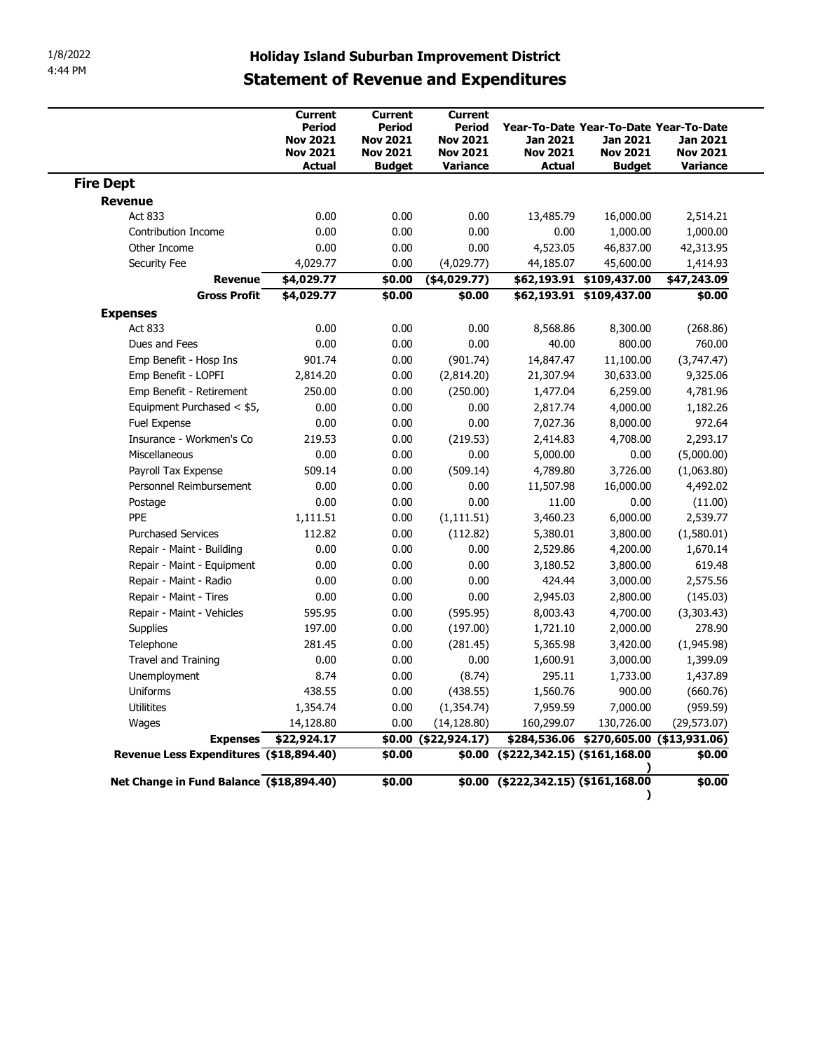|                                          | <b>Holiday Island Suburban Improvement District</b>                             |                                                                                 |                                                                                   |                                              |                                                                                        |                                         |
|------------------------------------------|---------------------------------------------------------------------------------|---------------------------------------------------------------------------------|-----------------------------------------------------------------------------------|----------------------------------------------|----------------------------------------------------------------------------------------|-----------------------------------------|
|                                          |                                                                                 |                                                                                 | <b>Statement of Revenue and Expenditures</b>                                      |                                              |                                                                                        |                                         |
|                                          | <b>Current</b><br>Period<br><b>Nov 2021</b><br><b>Nov 2021</b><br><b>Actual</b> | Current<br><b>Period</b><br><b>Nov 2021</b><br><b>Nov 2021</b><br><b>Budget</b> | <b>Current</b><br><b>Period</b><br><b>Nov 2021</b><br><b>Nov 2021</b><br>Variance | Jan 2021<br><b>Nov 2021</b><br><b>Actual</b> | Year-To-Date Year-To-Date Year-To-Date<br>Jan 2021<br><b>Nov 2021</b><br><b>Budget</b> | Jan 2021<br><b>Nov 2021</b><br>Variance |
|                                          |                                                                                 |                                                                                 |                                                                                   |                                              |                                                                                        |                                         |
| <b>Fire Dept</b>                         |                                                                                 |                                                                                 |                                                                                   |                                              |                                                                                        |                                         |
| <b>Revenue</b>                           |                                                                                 |                                                                                 |                                                                                   |                                              |                                                                                        |                                         |
| Act 833<br><b>Contribution Income</b>    | 0.00<br>0.00                                                                    | 0.00<br>0.00                                                                    | 0.00<br>0.00                                                                      | 13,485.79<br>0.00                            | 16,000.00<br>1,000.00                                                                  | 2,514.21<br>1,000.00                    |
| Other Income                             | 0.00                                                                            | 0.00                                                                            | 0.00                                                                              | 4,523.05                                     | 46,837.00                                                                              | 42,313.95                               |
| Security Fee                             | 4,029.77                                                                        | 0.00                                                                            | (4,029.77)                                                                        | 44,185.07                                    | 45,600.00                                                                              | 1,414.93                                |
| <b>Revenue</b>                           | \$4,029.77                                                                      | \$0.00                                                                          | ( \$4,029.77)                                                                     |                                              | \$62,193.91 \$109,437.00                                                               | \$47,243.09                             |
| <b>Gross Profit</b>                      | \$4,029.77                                                                      | \$0.00                                                                          | \$0.00                                                                            |                                              | $562,193.91$ \$109,437.00                                                              | \$0.00                                  |
| <b>Expenses</b>                          |                                                                                 |                                                                                 |                                                                                   |                                              |                                                                                        |                                         |
| Act 833                                  | 0.00                                                                            | 0.00                                                                            | 0.00                                                                              | 8,568.86                                     | 8,300.00                                                                               | (268.86)                                |
| Dues and Fees                            | 0.00                                                                            | 0.00                                                                            | 0.00                                                                              | 40.00                                        | 800.00                                                                                 | 760.00                                  |
| Emp Benefit - Hosp Ins                   | 901.74                                                                          | 0.00                                                                            | (901.74)                                                                          | 14,847.47                                    | 11,100.00                                                                              | (3,747.47)                              |
| Emp Benefit - LOPFI                      | 2,814.20                                                                        | 0.00                                                                            | (2,814.20)                                                                        | 21,307.94                                    | 30,633.00                                                                              | 9,325.06                                |
| Emp Benefit - Retirement                 | 250.00                                                                          | 0.00                                                                            | (250.00)                                                                          | 1,477.04                                     | 6,259.00                                                                               | 4,781.96                                |
| Equipment Purchased < \$5,               | 0.00                                                                            | 0.00                                                                            | 0.00                                                                              | 2,817.74                                     | 4,000.00                                                                               | 1,182.26                                |
| Fuel Expense                             | 0.00                                                                            | 0.00                                                                            | 0.00                                                                              | 7,027.36                                     | 8,000.00                                                                               | 972.64                                  |
| Insurance - Workmen's Co                 | 219.53                                                                          | 0.00                                                                            | (219.53)                                                                          | 2,414.83                                     | 4,708.00                                                                               | 2,293.17                                |
| Miscellaneous                            | 0.00                                                                            | 0.00                                                                            | 0.00                                                                              | 5,000.00                                     | 0.00                                                                                   | (5,000.00)                              |
| Payroll Tax Expense                      | 509.14                                                                          | 0.00                                                                            | (509.14)                                                                          | 4,789.80                                     | 3,726.00                                                                               | (1,063.80)                              |
| Personnel Reimbursement                  | 0.00                                                                            | 0.00                                                                            | 0.00                                                                              | 11,507.98                                    | 16,000.00                                                                              | 4,492.02                                |
| Postage                                  | 0.00                                                                            | 0.00                                                                            | 0.00                                                                              | 11.00                                        | 0.00                                                                                   | (11.00)                                 |
| PPE                                      | 1,111.51                                                                        | 0.00                                                                            | (1, 111.51)                                                                       | 3,460.23                                     | 6,000.00                                                                               | 2,539.77                                |
| <b>Purchased Services</b>                | 112.82                                                                          | 0.00                                                                            | (112.82)                                                                          | 5,380.01                                     | 3,800.00                                                                               | (1,580.01)                              |
| Repair - Maint - Building                | 0.00                                                                            | 0.00                                                                            | 0.00                                                                              | 2,529.86                                     | 4,200.00                                                                               | 1,670.14                                |
| Repair - Maint - Equipment               | 0.00                                                                            | 0.00                                                                            | 0.00                                                                              | 3,180.52                                     | 3,800.00                                                                               | 619.48                                  |
| Repair - Maint - Radio                   | 0.00                                                                            | 0.00                                                                            | 0.00                                                                              | 424.44                                       | 3,000.00                                                                               | 2,575.56                                |
| Repair - Maint - Tires                   | 0.00                                                                            | 0.00                                                                            | 0.00                                                                              | 2,945.03                                     | 2,800.00                                                                               | (145.03)                                |
| Repair - Maint - Vehicles                | 595.95                                                                          | 0.00                                                                            | (595.95)                                                                          | 8,003.43                                     | 4,700.00                                                                               | (3,303.43)                              |
| Supplies                                 | 197.00                                                                          | 0.00                                                                            | (197.00)                                                                          | 1,721.10                                     | 2,000.00                                                                               | 278.90                                  |
| Telephone                                | 281.45                                                                          | 0.00                                                                            | (281.45)                                                                          | 5,365.98                                     | 3,420.00                                                                               | (1,945.98)                              |
| Travel and Training                      | 0.00                                                                            | 0.00                                                                            | 0.00                                                                              | 1,600.91                                     | 3,000.00                                                                               | 1,399.09                                |
| Unemployment                             | 8.74                                                                            | 0.00                                                                            | (8.74)                                                                            | 295.11                                       | 1,733.00                                                                               | 1,437.89                                |
| Uniforms                                 | 438.55                                                                          | 0.00                                                                            | (438.55)                                                                          | 1,560.76                                     | 900.00                                                                                 | (660.76)                                |
| Utilitites                               | 1,354.74                                                                        | 0.00                                                                            | (1, 354.74)                                                                       | 7,959.59                                     | 7,000.00                                                                               | (959.59)                                |
| Wages                                    | 14,128.80                                                                       | 0.00                                                                            | (14, 128.80)                                                                      | 160,299.07                                   | 130,726.00                                                                             | (29, 573.07)                            |
|                                          | Expenses \$22,924.17                                                            |                                                                                 | \$0.00 (\$22,924.17)                                                              |                                              | \$284,536.06 \$270,605.00 (\$13,931.06)                                                |                                         |
| Revenue Less Expenditures (\$18,894.40)  |                                                                                 | \$0.00                                                                          |                                                                                   | $$0.00$ (\$222,342.15) (\$161,168.00         |                                                                                        | \$0.00                                  |
| Net Change in Fund Balance (\$18,894.40) |                                                                                 | \$0.00                                                                          |                                                                                   | $$0.00$ (\$222,342.15) (\$161,168.00         |                                                                                        | \$0.00                                  |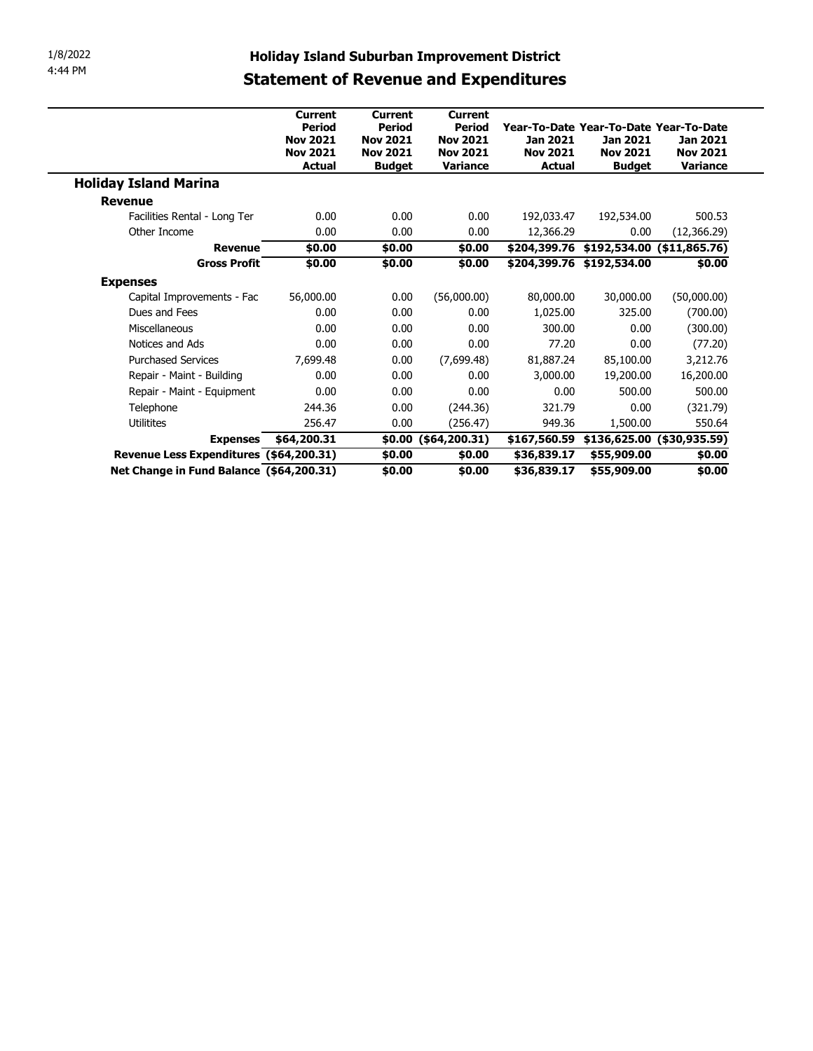| 1/8/2022<br>4:44 PM |                                          | <b>Holiday Island Suburban Improvement District</b>                                    |                                                                                        |                                                                                   |                                                                                 |                                              |                                                |
|---------------------|------------------------------------------|----------------------------------------------------------------------------------------|----------------------------------------------------------------------------------------|-----------------------------------------------------------------------------------|---------------------------------------------------------------------------------|----------------------------------------------|------------------------------------------------|
|                     |                                          | <b>Statement of Revenue and Expenditures</b>                                           |                                                                                        |                                                                                   |                                                                                 |                                              |                                                |
|                     |                                          | <b>Current</b><br><b>Period</b><br><b>Nov 2021</b><br><b>Nov 2021</b><br><b>Actual</b> | <b>Current</b><br><b>Period</b><br><b>Nov 2021</b><br><b>Nov 2021</b><br><b>Budget</b> | <b>Current</b><br><b>Period</b><br><b>Nov 2021</b><br><b>Nov 2021</b><br>Variance | Year-To-Date Year-To-Date Year-To-Date<br>Jan 2021<br><b>Nov 2021</b><br>Actual | Jan 2021<br><b>Nov 2021</b><br><b>Budget</b> | <b>Jan 2021</b><br><b>Nov 2021</b><br>Variance |
|                     | <b>Holiday Island Marina</b>             |                                                                                        |                                                                                        |                                                                                   |                                                                                 |                                              |                                                |
|                     | <b>Revenue</b>                           |                                                                                        |                                                                                        |                                                                                   |                                                                                 |                                              |                                                |
|                     | Facilities Rental - Long Ter             | 0.00                                                                                   | 0.00                                                                                   | 0.00                                                                              | 192,033.47                                                                      | 192,534.00                                   | 500.53                                         |
|                     | Other Income                             | 0.00                                                                                   | 0.00                                                                                   | 0.00                                                                              | 12,366.29                                                                       | 0.00                                         | (12,366.29)                                    |
|                     | Revenue                                  | \$0.00                                                                                 | \$0.00                                                                                 | \$0.00                                                                            |                                                                                 | $$204,399.76$ $$192,534.00$ $$11,865.76$     |                                                |
|                     | <b>Gross Profit</b>                      | \$0.00                                                                                 | \$0.00                                                                                 | \$0.00                                                                            |                                                                                 | \$204,399.76 \$192,534.00                    | \$0.00                                         |
|                     | <b>Expenses</b>                          |                                                                                        |                                                                                        |                                                                                   |                                                                                 |                                              |                                                |
|                     | Capital Improvements - Fac               | 56,000.00                                                                              | 0.00                                                                                   | (56,000.00)                                                                       | 80,000.00                                                                       | 30,000.00                                    | (50,000.00)                                    |
|                     | Dues and Fees                            | 0.00                                                                                   | 0.00                                                                                   | 0.00                                                                              | 1,025.00                                                                        | 325.00                                       | (700.00)                                       |
|                     | Miscellaneous                            | 0.00                                                                                   | 0.00                                                                                   | 0.00                                                                              | 300.00                                                                          | 0.00                                         | (300.00)                                       |
|                     | Notices and Ads                          | 0.00                                                                                   | 0.00                                                                                   | 0.00                                                                              | 77.20                                                                           | 0.00                                         | (77.20)                                        |
|                     | <b>Purchased Services</b>                | 7,699.48                                                                               | 0.00                                                                                   | (7,699.48)                                                                        | 81,887.24                                                                       | 85,100.00                                    | 3,212.76                                       |
|                     | Repair - Maint - Building                | 0.00                                                                                   | 0.00                                                                                   | 0.00                                                                              | 3,000.00                                                                        | 19,200.00                                    | 16,200.00                                      |
|                     | Repair - Maint - Equipment               | 0.00                                                                                   | 0.00                                                                                   | 0.00                                                                              | 0.00                                                                            | 500.00                                       | 500.00                                         |
|                     | Telephone                                | 244.36                                                                                 | 0.00                                                                                   | (244.36)                                                                          | 321.79                                                                          | 0.00                                         | (321.79)                                       |
|                     | <b>Utilitites</b>                        | 256.47                                                                                 | 0.00                                                                                   | (256.47)                                                                          | 949.36                                                                          | 1,500.00                                     | 550.64                                         |
|                     |                                          | Expenses \$64,200.31                                                                   |                                                                                        | $$0.00$ (\$64,200.31)                                                             |                                                                                 | $$167,560.59$ \$136,625.00 (\$30,935.59)     |                                                |
|                     | Revenue Less Expenditures (\$64,200.31)  |                                                                                        | \$0.00                                                                                 | \$0.00                                                                            | \$36,839.17                                                                     | \$55,909.00                                  | \$0.00                                         |
|                     | Net Change in Fund Balance (\$64,200.31) |                                                                                        | \$0.00                                                                                 | \$0.00                                                                            | \$36,839.17                                                                     | \$55,909.00                                  | \$0.00                                         |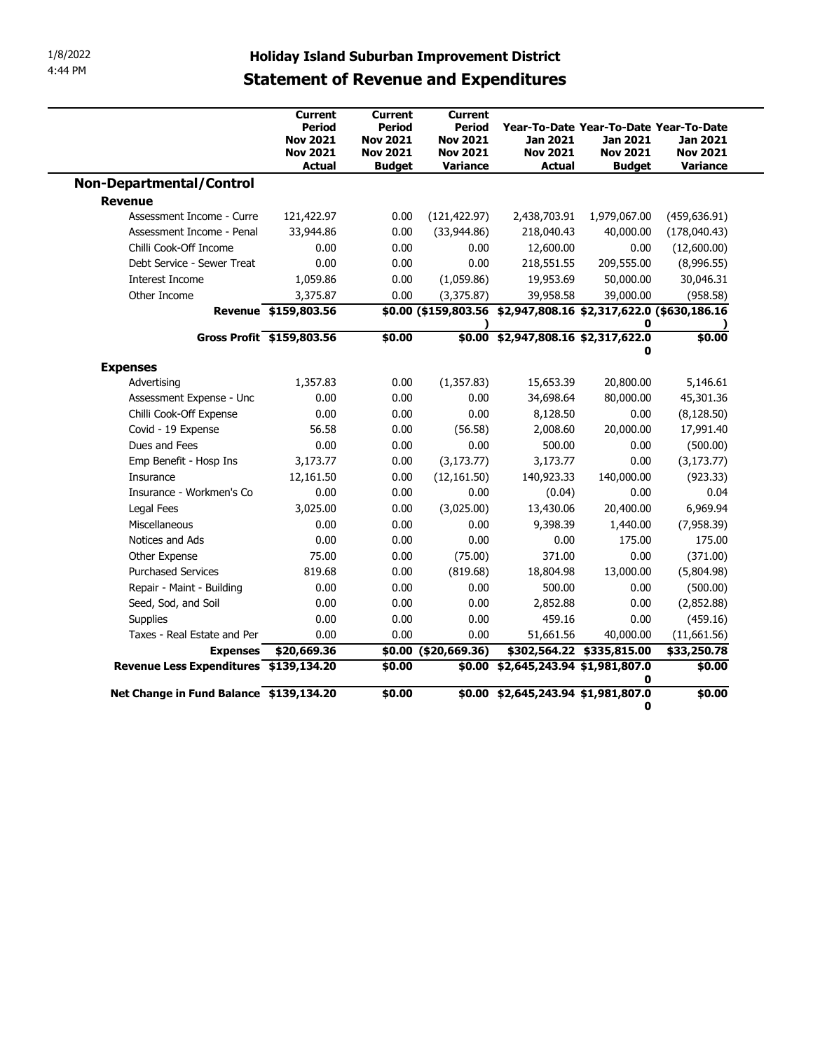| 1/8/2022<br>4:44 PM                     | <b>Holiday Island Suburban Improvement District</b>                      |                                                                                 |                                                                                   |                                                                                 |                                       |                                                |
|-----------------------------------------|--------------------------------------------------------------------------|---------------------------------------------------------------------------------|-----------------------------------------------------------------------------------|---------------------------------------------------------------------------------|---------------------------------------|------------------------------------------------|
|                                         | <b>Statement of Revenue and Expenditures</b>                             |                                                                                 |                                                                                   |                                                                                 |                                       |                                                |
|                                         | <b>Current</b><br>Period<br><b>Nov 2021</b><br><b>Nov 2021</b><br>Actual | <b>Current</b><br>Period<br><b>Nov 2021</b><br><b>Nov 2021</b><br><b>Budget</b> | <b>Current</b><br><b>Period</b><br><b>Nov 2021</b><br><b>Nov 2021</b><br>Variance | Year-To-Date Year-To-Date Year-To-Date<br>Jan 2021<br><b>Nov 2021</b><br>Actual | Jan 2021<br><b>Nov 2021</b><br>Budget | Jan 2021<br><b>Nov 2021</b><br><b>Variance</b> |
| <b>Non-Departmental/Control</b>         |                                                                          |                                                                                 |                                                                                   |                                                                                 |                                       |                                                |
| <b>Revenue</b>                          |                                                                          |                                                                                 |                                                                                   |                                                                                 |                                       |                                                |
| Assessment Income - Curre               | 121,422.97                                                               | 0.00                                                                            | (121, 422.97)                                                                     | 2,438,703.91                                                                    | 1,979,067.00                          | (459, 636.91)                                  |
| Assessment Income - Penal               | 33,944.86                                                                | 0.00                                                                            | (33,944.86)                                                                       | 218,040.43                                                                      | 40,000.00                             | (178,040.43)                                   |
| Chilli Cook-Off Income                  | 0.00                                                                     | 0.00                                                                            | 0.00                                                                              | 12,600.00                                                                       | 0.00                                  | (12,600.00)                                    |
| Debt Service - Sewer Treat              | 0.00                                                                     | 0.00                                                                            | 0.00                                                                              | 218,551.55                                                                      | 209,555.00                            | (8,996.55)                                     |
| Interest Income                         | 1,059.86                                                                 | 0.00                                                                            | (1,059.86)                                                                        | 19,953.69                                                                       | 50,000.00                             | 30,046.31                                      |
| Other Income                            | 3,375.87                                                                 | 0.00                                                                            | (3,375.87)                                                                        | 39,958.58                                                                       | 39,000.00                             | (958.58)                                       |
|                                         | Revenue \$159,803.56                                                     |                                                                                 |                                                                                   | \$0.00 (\$159,803.56 \$2,947,808.16 \$2,317,622.0 (\$630,186.16                 | 0                                     |                                                |
| Gross Profit \$159,803.56               |                                                                          | \$0.00                                                                          |                                                                                   | \$0.00 \$2,947,808.16 \$2,317,622.0                                             | 0                                     | \$0.00                                         |
| <b>Expenses</b>                         |                                                                          |                                                                                 |                                                                                   |                                                                                 |                                       |                                                |
| Advertising                             | 1,357.83                                                                 | 0.00                                                                            | (1,357.83)                                                                        | 15,653.39                                                                       | 20,800.00                             | 5,146.61                                       |
| Assessment Expense - Unc                | 0.00                                                                     | 0.00                                                                            | 0.00                                                                              | 34,698.64                                                                       | 80,000.00                             | 45,301.36                                      |
| Chilli Cook-Off Expense                 | 0.00                                                                     | 0.00                                                                            | 0.00                                                                              | 8,128.50                                                                        | 0.00                                  | (8, 128.50)                                    |
| Covid - 19 Expense                      | 56.58                                                                    | 0.00                                                                            | (56.58)                                                                           | 2,008.60                                                                        | 20,000.00                             | 17,991.40                                      |
| Dues and Fees                           | 0.00                                                                     | 0.00                                                                            | 0.00                                                                              | 500.00                                                                          | 0.00                                  | (500.00)                                       |
| Emp Benefit - Hosp Ins                  | 3,173.77                                                                 | 0.00                                                                            | (3, 173.77)                                                                       | 3,173.77                                                                        | 0.00                                  | (3, 173.77)                                    |
| Insurance                               | 12,161.50                                                                | 0.00                                                                            | (12, 161.50)                                                                      | 140,923.33                                                                      | 140,000.00                            | (923.33)                                       |
| Insurance - Workmen's Co                | 0.00                                                                     | 0.00                                                                            | 0.00                                                                              | (0.04)                                                                          | 0.00                                  | 0.04                                           |
| Legal Fees                              | 3,025.00                                                                 | 0.00                                                                            | (3,025.00)                                                                        | 13,430.06                                                                       | 20,400.00                             | 6,969.94                                       |
| Miscellaneous                           | 0.00                                                                     | 0.00                                                                            | 0.00                                                                              | 9,398.39                                                                        | 1,440.00                              | (7,958.39)                                     |
| Notices and Ads                         | 0.00                                                                     | 0.00                                                                            | 0.00                                                                              | 0.00                                                                            | 175.00                                | 175.00                                         |
| Other Expense                           | 75.00                                                                    | 0.00                                                                            | (75.00)                                                                           | 371.00                                                                          | 0.00                                  | (371.00)                                       |
| <b>Purchased Services</b>               | 819.68                                                                   | 0.00                                                                            | (819.68)                                                                          | 18,804.98                                                                       | 13,000.00                             | (5,804.98)                                     |
| Repair - Maint - Building               | 0.00                                                                     | 0.00                                                                            | 0.00                                                                              | 500.00                                                                          | 0.00                                  | (500.00)                                       |
| Seed, Sod, and Soil                     | 0.00                                                                     | 0.00                                                                            | 0.00                                                                              | 2,852.88                                                                        | 0.00                                  | (2,852.88)                                     |
| Supplies                                | 0.00                                                                     | 0.00                                                                            | 0.00                                                                              | 459.16                                                                          | 0.00                                  | (459.16)                                       |
| Taxes - Real Estate and Per             | 0.00                                                                     | 0.00                                                                            | 0.00                                                                              | 51,661.56                                                                       | 40,000.00                             | (11,661.56)                                    |
|                                         | Expenses \$20,669.36                                                     |                                                                                 | \$0.00 (\$20,669.36)                                                              | \$302,564.22 \$335,815.00                                                       |                                       | \$33,250.78                                    |
| Revenue Less Expenditures \$139,134.20  |                                                                          | \$0.00                                                                          |                                                                                   | \$0.00 \$2,645,243.94 \$1,981,807.0                                             | 0                                     | \$0.00                                         |
| Net Change in Fund Balance \$139,134.20 |                                                                          | \$0.00                                                                          |                                                                                   | \$0.00 \$2,645,243.94 \$1,981,807.0                                             | 0                                     | $\frac{1}{60.00}$                              |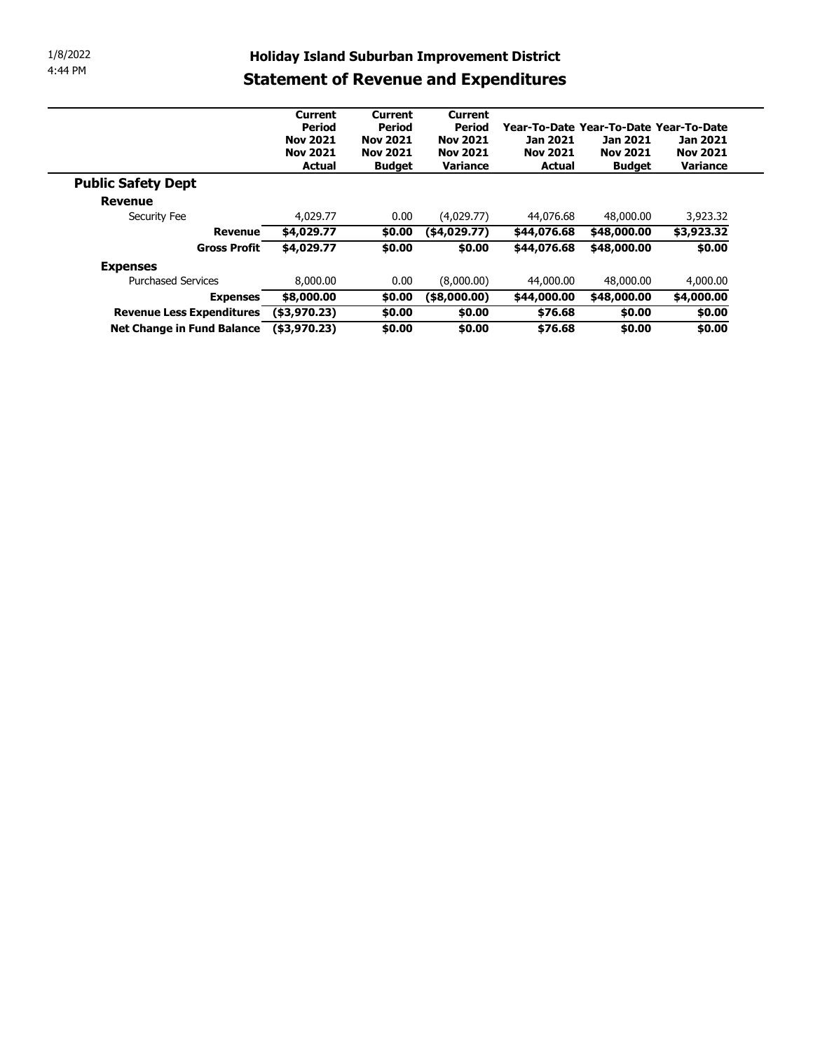| 1/8/2022<br>4:44 PM                                                               |                                              |                 |                                                     |                                        |                 |                             |
|-----------------------------------------------------------------------------------|----------------------------------------------|-----------------|-----------------------------------------------------|----------------------------------------|-----------------|-----------------------------|
|                                                                                   |                                              |                 |                                                     |                                        |                 |                             |
|                                                                                   |                                              |                 |                                                     |                                        |                 |                             |
|                                                                                   |                                              |                 |                                                     |                                        |                 |                             |
|                                                                                   |                                              |                 |                                                     |                                        |                 |                             |
|                                                                                   |                                              |                 |                                                     |                                        |                 |                             |
|                                                                                   |                                              |                 |                                                     |                                        |                 |                             |
|                                                                                   |                                              |                 | <b>Holiday Island Suburban Improvement District</b> |                                        |                 |                             |
|                                                                                   | <b>Statement of Revenue and Expenditures</b> |                 |                                                     |                                        |                 |                             |
|                                                                                   |                                              |                 |                                                     |                                        |                 |                             |
|                                                                                   | <b>Current</b>                               | <b>Current</b>  | <b>Current</b>                                      |                                        |                 |                             |
|                                                                                   | <b>Period</b>                                | <b>Period</b>   | <b>Period</b>                                       | Year-To-Date Year-To-Date Year-To-Date |                 |                             |
|                                                                                   | <b>Nov 2021</b>                              | <b>Nov 2021</b> | <b>Nov 2021</b>                                     | <b>Jan 2021</b>                        | <b>Jan 2021</b> | Jan 2021                    |
|                                                                                   | <b>Nov 2021</b><br><b>Actual</b>             | <b>Nov 2021</b> | <b>Nov 2021</b><br>Variance                         | <b>Nov 2021</b><br><b>Actual</b>       | <b>Nov 2021</b> | <b>Nov 2021</b><br>Variance |
|                                                                                   |                                              | <b>Budget</b>   |                                                     |                                        | <b>Budget</b>   |                             |
| <b>Public Safety Dept</b>                                                         |                                              |                 |                                                     |                                        |                 |                             |
| <b>Revenue</b>                                                                    |                                              |                 |                                                     |                                        |                 |                             |
| Security Fee                                                                      | 4,029.77                                     | 0.00            | (4,029.77)                                          | 44,076.68                              | 48,000.00       | 3,923.32                    |
| <b>Revenue</b>                                                                    | \$4,029.77                                   | \$0.00          | $($ \$4,029.77)                                     | \$44,076.68                            | \$48,000.00     | 53,923.32                   |
| <b>Gross Profit</b>                                                               | \$4,029.77                                   | \$0.00          | \$0.00                                              | \$44,076.68                            | \$48,000.00     | \$0.00                      |
| <b>Expenses</b>                                                                   |                                              |                 |                                                     |                                        |                 |                             |
| <b>Purchased Services</b>                                                         | 8,000.00                                     | 0.00            | (8,000.00)                                          | 44,000.00                              | 48,000.00       | 4,000.00                    |
| <b>Expenses</b>                                                                   | \$8,000.00                                   | \$0.00          | $($ \$8,000.00)                                     | \$44,000.00                            | \$48,000.00     | \$4,000.00                  |
|                                                                                   |                                              | \$0.00          | $\frac{1}{6}0.00$                                   | \$76.68                                | \$0.00          | \$0.00                      |
| Revenue Less Expenditures (\$3,970.23)<br>Net Change in Fund Balance (\$3,970.23) |                                              | \$0.00          | \$0.00                                              | \$76.68                                | \$0.00          | \$0.00                      |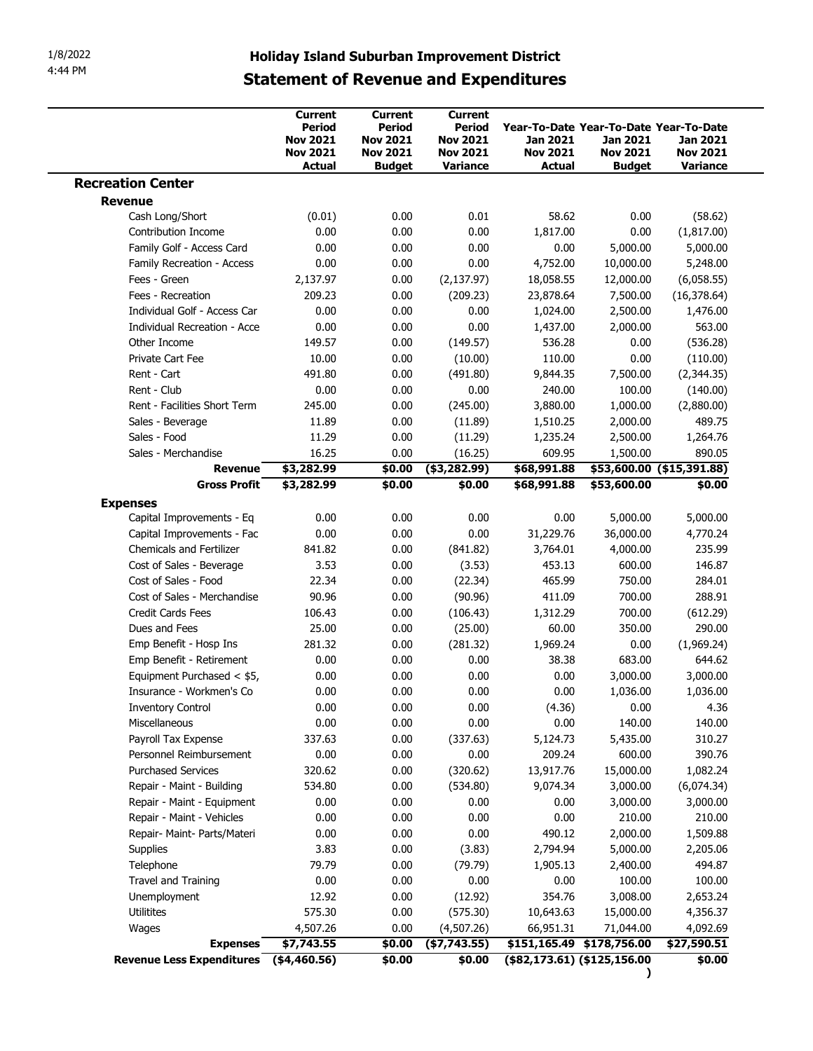| 1/8/2022<br>4:44 PM          | <b>Holiday Island Suburban Improvement District</b><br><b>Statement of Revenue and Expenditures</b> |                          |                          |                                        |                 |                           |
|------------------------------|-----------------------------------------------------------------------------------------------------|--------------------------|--------------------------|----------------------------------------|-----------------|---------------------------|
|                              |                                                                                                     |                          |                          |                                        |                 |                           |
|                              |                                                                                                     |                          |                          |                                        |                 |                           |
|                              |                                                                                                     |                          |                          |                                        |                 |                           |
|                              |                                                                                                     |                          |                          |                                        |                 |                           |
|                              |                                                                                                     |                          |                          |                                        |                 |                           |
|                              |                                                                                                     |                          |                          |                                        |                 |                           |
|                              |                                                                                                     |                          |                          |                                        |                 |                           |
|                              |                                                                                                     |                          |                          |                                        |                 |                           |
|                              | Current<br>Period                                                                                   | <b>Current</b><br>Period | <b>Current</b><br>Period | Year-To-Date Year-To-Date Year-To-Date |                 |                           |
|                              | <b>Nov 2021</b>                                                                                     | <b>Nov 2021</b>          | <b>Nov 2021</b>          | Jan 2021                               | Jan 2021        | Jan 2021                  |
|                              | <b>Nov 2021</b>                                                                                     | <b>Nov 2021</b>          | <b>Nov 2021</b>          | <b>Nov 2021</b>                        | <b>Nov 2021</b> | <b>Nov 2021</b>           |
|                              | Actual                                                                                              | <b>Budget</b>            | Variance                 | Actual                                 | <b>Budget</b>   | Variance                  |
| <b>Recreation Center</b>     |                                                                                                     |                          |                          |                                        |                 |                           |
| <b>Revenue</b>               |                                                                                                     |                          |                          |                                        |                 |                           |
| Cash Long/Short              | (0.01)                                                                                              | 0.00                     | 0.01                     | 58.62                                  | 0.00            | (58.62)                   |
| Contribution Income          | 0.00                                                                                                | 0.00                     | 0.00                     | 1,817.00                               | 0.00            | (1,817.00)                |
| Family Golf - Access Card    | 0.00                                                                                                | 0.00                     | 0.00                     | 0.00                                   | 5,000.00        | 5,000.00                  |
|                              | 0.00                                                                                                |                          | 0.00                     |                                        |                 |                           |
| Family Recreation - Access   |                                                                                                     | 0.00                     |                          | 4,752.00                               | 10,000.00       | 5,248.00                  |
| Fees - Green                 | 2,137.97                                                                                            | 0.00                     | (2, 137.97)              | 18,058.55                              | 12,000.00       | (6,058.55)                |
| Fees - Recreation            | 209.23                                                                                              | 0.00                     | (209.23)                 | 23,878.64                              | 7,500.00        | (16, 378.64)              |
| Individual Golf - Access Car | 0.00                                                                                                | 0.00                     | 0.00                     | 1,024.00                               | 2,500.00        | 1,476.00                  |
| Individual Recreation - Acce | 0.00                                                                                                | 0.00                     | 0.00                     | 1,437.00                               | 2,000.00        | 563.00                    |
| Other Income                 | 149.57                                                                                              | 0.00                     | (149.57)                 | 536.28                                 | 0.00            | (536.28)                  |
| Private Cart Fee             | 10.00                                                                                               | 0.00                     | (10.00)                  | 110.00                                 | 0.00            | (110.00)                  |
| Rent - Cart                  | 491.80                                                                                              | 0.00                     | (491.80)                 | 9,844.35                               | 7,500.00        | (2,344.35)                |
| Rent - Club                  | 0.00                                                                                                | 0.00                     | 0.00                     | 240.00                                 | 100.00          | (140.00)                  |
| Rent - Facilities Short Term | 245.00                                                                                              | 0.00                     | (245.00)                 | 3,880.00                               | 1,000.00        | (2,880.00)                |
| Sales - Beverage             | 11.89                                                                                               | 0.00                     | (11.89)                  | 1,510.25                               | 2,000.00        | 489.75                    |
| Sales - Food                 | 11.29                                                                                               | 0.00                     | (11.29)                  | 1,235.24                               | 2,500.00        | 1,264.76                  |
| Sales - Merchandise          | 16.25                                                                                               | 0.00                     | (16.25)                  | 609.95                                 | 1,500.00        | 890.05                    |
| Revenue                      | \$3,282.99                                                                                          | \$0.00                   | $($ \$3,282.99 $)$       | \$68,991.88                            |                 | \$53,600.00 (\$15,391.88) |
| <b>Gross Profit</b>          | \$3,282.99                                                                                          | \$0.00                   | \$0.00                   | \$68,991.88                            | \$53,600.00     | \$0.00                    |
| <b>Expenses</b>              |                                                                                                     |                          |                          |                                        |                 |                           |
| Capital Improvements - Eq    | 0.00                                                                                                | 0.00                     | 0.00                     | 0.00                                   | 5,000.00        | 5,000.00                  |
| Capital Improvements - Fac   | 0.00                                                                                                | 0.00                     | 0.00                     | 31,229.76                              | 36,000.00       | 4,770.24                  |
|                              | 841.82                                                                                              | 0.00                     | (841.82)                 | 3,764.01                               | 4,000.00        | 235.99                    |
|                              |                                                                                                     | 0.00                     | (3.53)                   | 453.13                                 | 600.00          | 146.87                    |
| Chemicals and Fertilizer     |                                                                                                     |                          |                          |                                        |                 | 284.01                    |
| Cost of Sales - Beverage     | 3.53                                                                                                |                          |                          |                                        |                 |                           |
| Cost of Sales - Food         | 22.34                                                                                               | 0.00                     | (22.34)                  | 465.99                                 | 750.00          |                           |
| Cost of Sales - Merchandise  | 90.96                                                                                               | 0.00                     | (90.96)                  | 411.09                                 | 700.00          | 288.91                    |
| Credit Cards Fees            | 106.43                                                                                              | 0.00                     | (106.43)                 | 1,312.29                               | 700.00          | (612.29)                  |
| Dues and Fees                | 25.00                                                                                               | 0.00                     | (25.00)                  | 60.00                                  | 350.00          | 290.00                    |
| Emp Benefit - Hosp Ins       | 281.32                                                                                              | 0.00                     | (281.32)                 | 1,969.24                               | 0.00            | (1,969.24)                |
| Emp Benefit - Retirement     | 0.00                                                                                                | 0.00                     | 0.00                     | 38.38                                  | 683.00          | 644.62                    |
| Equipment Purchased $<$ \$5, | 0.00                                                                                                | 0.00                     | 0.00                     | 0.00                                   | 3,000.00        | 3,000.00                  |
| Insurance - Workmen's Co     | 0.00                                                                                                | 0.00                     | 0.00                     | 0.00                                   | 1,036.00        | 1,036.00                  |
| <b>Inventory Control</b>     | 0.00                                                                                                | 0.00                     | 0.00                     | (4.36)                                 | 0.00            | 4.36                      |
| Miscellaneous                | 0.00                                                                                                |                          | 0.00                     | 0.00                                   |                 |                           |
| Payroll Tax Expense          | 337.63                                                                                              | 0.00<br>0.00             |                          |                                        | 140.00          | 140.00<br>310.27          |
|                              |                                                                                                     |                          | (337.63)                 | 5,124.73                               | 5,435.00        |                           |
| Personnel Reimbursement      | 0.00                                                                                                | 0.00                     | 0.00                     | 209.24                                 | 600.00          | 390.76                    |
| <b>Purchased Services</b>    | 320.62                                                                                              | 0.00                     | (320.62)                 | 13,917.76                              | 15,000.00       | 1,082.24                  |
| Repair - Maint - Building    | 534.80                                                                                              | 0.00                     | (534.80)                 | 9,074.34                               | 3,000.00        | (6,074.34)                |
| Repair - Maint - Equipment   | 0.00                                                                                                | 0.00                     | 0.00                     | 0.00                                   | 3,000.00        | 3,000.00                  |
| Repair - Maint - Vehicles    | 0.00                                                                                                | 0.00                     | 0.00                     | 0.00                                   | 210.00          | 210.00                    |
| Repair- Maint- Parts/Materi  | 0.00                                                                                                | 0.00                     | 0.00                     | 490.12                                 | 2,000.00        | 1,509.88                  |
| Supplies                     | 3.83                                                                                                | 0.00                     | (3.83)                   | 2,794.94                               | 5,000.00        | 2,205.06                  |
| Telephone                    | 79.79                                                                                               | 0.00                     | (79.79)                  | 1,905.13                               | 2,400.00        | 494.87                    |
| Travel and Training          | 0.00                                                                                                | 0.00                     | 0.00                     | 0.00                                   | 100.00          | 100.00                    |
| Unemployment                 | 12.92                                                                                               | 0.00                     | (12.92)                  | 354.76                                 | 3,008.00        | 2,653.24                  |
| Utilitites                   | 575.30                                                                                              | 0.00                     | (575.30)                 | 10,643.63                              | 15,000.00       | 4,356.37                  |
| Wages                        | 4,507.26                                                                                            | 0.00                     | (4,507.26)               | 66,951.31                              | 71,044.00       | 4,092.69                  |
| <b>Expenses</b>              | \$7,743.55                                                                                          | \$0.00                   | ( \$7,743.55)            | \$151,165.49 \$178,756.00              |                 | \$27,590.51               |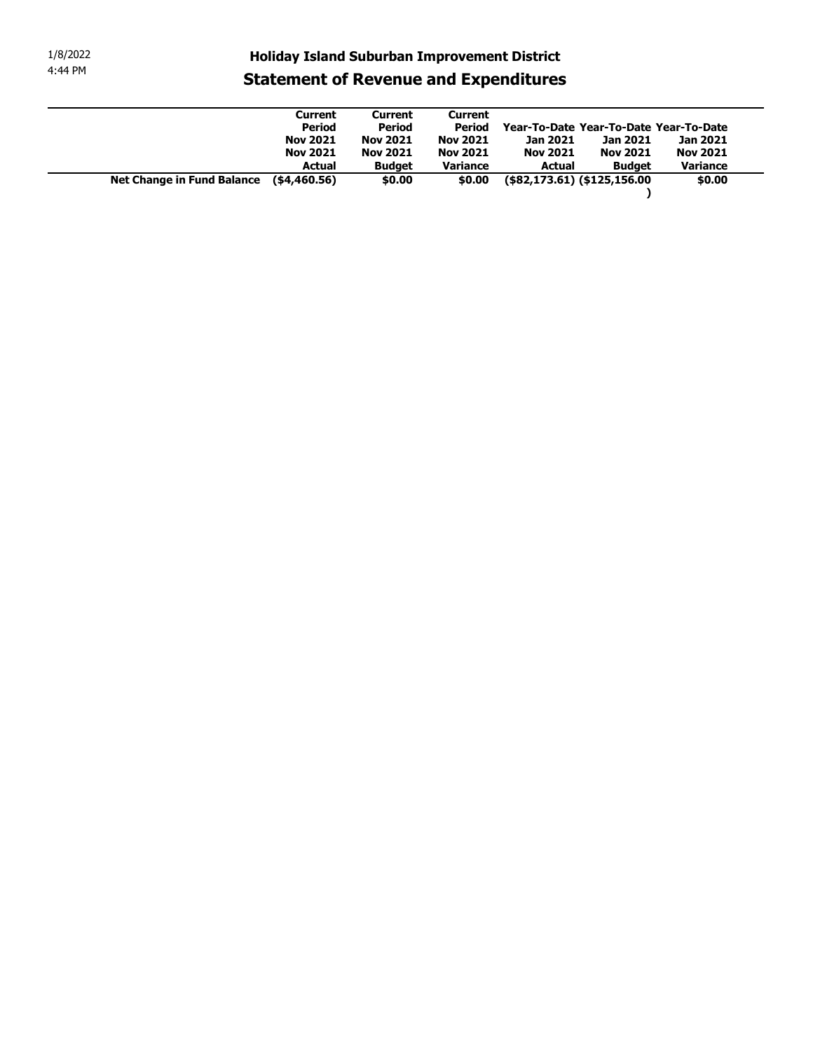| 1/8/2022 |                                   | <b>Holiday Island Suburban Improvement District</b> |                                 |                                 |                                                |                 |                    |
|----------|-----------------------------------|-----------------------------------------------------|---------------------------------|---------------------------------|------------------------------------------------|-----------------|--------------------|
| 4:44 PM  |                                   | <b>Statement of Revenue and Expenditures</b>        |                                 |                                 |                                                |                 |                    |
|          |                                   |                                                     |                                 |                                 |                                                |                 |                    |
|          |                                   | <b>Current</b><br><b>Period</b>                     | <b>Current</b><br><b>Period</b> | <b>Current</b><br><b>Period</b> | Year-To-Date Year-To-Date Year-To-Date         |                 |                    |
|          |                                   | <b>Nov 2021</b>                                     | <b>Nov 2021</b>                 | <b>Nov 2021</b>                 | Jan 2021                                       | Jan 2021        | Jan 2021           |
|          |                                   | <b>Nov 2021</b>                                     | <b>Nov 2021</b>                 | <b>Nov 2021</b>                 | <b>Nov 2021</b>                                | <b>Nov 2021</b> | <b>Nov 2021</b>    |
|          | <b>Net Change in Fund Balance</b> | <b>Actual</b><br>( \$4,460.56)                      | <b>Budget</b><br>\$0.00         | Variance<br>\$0.00              | <b>Actual</b><br>$($82,173.61)$ (\$125,156.00) | <b>Budget</b>   | Variance<br>\$0.00 |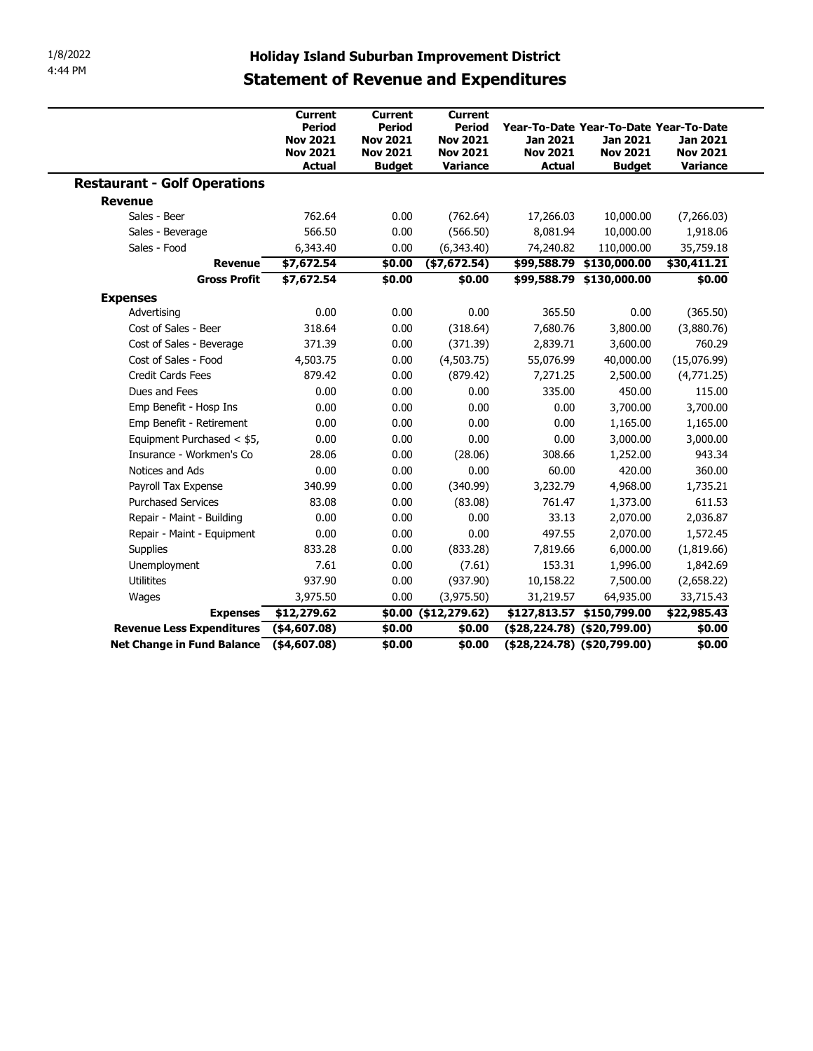| 4:44 PM                                                | <b>Statement of Revenue and Expenditures</b>                  |                                                                      |                                                                 | <b>Holiday Island Suburban Improvement District</b>                                    |                                                     |                                         |
|--------------------------------------------------------|---------------------------------------------------------------|----------------------------------------------------------------------|-----------------------------------------------------------------|----------------------------------------------------------------------------------------|-----------------------------------------------------|-----------------------------------------|
|                                                        | <b>Current</b>                                                | Current                                                              | <b>Current</b>                                                  |                                                                                        |                                                     |                                         |
|                                                        | Period<br><b>Nov 2021</b><br><b>Nov 2021</b><br><b>Actual</b> | <b>Period</b><br><b>Nov 2021</b><br><b>Nov 2021</b><br><b>Budget</b> | <b>Period</b><br><b>Nov 2021</b><br><b>Nov 2021</b><br>Variance | Year-To-Date Year-To-Date Year-To-Date<br>Jan 2021<br><b>Nov 2021</b><br><b>Actual</b> | <b>Jan 2021</b><br><b>Nov 2021</b><br><b>Budget</b> | Jan 2021<br><b>Nov 2021</b><br>Variance |
| <b>Restaurant - Golf Operations</b>                    |                                                               |                                                                      |                                                                 |                                                                                        |                                                     |                                         |
| <b>Revenue</b>                                         |                                                               |                                                                      |                                                                 |                                                                                        |                                                     |                                         |
| Sales - Beer                                           | 762.64                                                        | 0.00                                                                 | (762.64)                                                        | 17,266.03                                                                              | 10,000.00                                           | (7,266.03)                              |
| Sales - Beverage                                       | 566.50                                                        | 0.00                                                                 | (566.50)                                                        | 8,081.94                                                                               | 10,000.00                                           | 1,918.06                                |
| Sales - Food                                           | 6,343.40                                                      | 0.00                                                                 | (6, 343.40)                                                     | 74,240.82                                                                              | 110,000.00                                          | 35,759.18                               |
| Revenue                                                | \$7,672.54                                                    | \$0.00                                                               | (\$7,672.54)                                                    |                                                                                        | \$99,588.79 \$130,000.00                            | \$30,411.21                             |
| <b>Gross Profit</b>                                    | \$7,672.54                                                    | \$0.00                                                               | \$0.00                                                          |                                                                                        | \$99,588.79 \$130,000.00                            | \$0.00                                  |
| <b>Expenses</b>                                        |                                                               |                                                                      |                                                                 |                                                                                        |                                                     |                                         |
| Advertising                                            | 0.00                                                          | 0.00                                                                 | 0.00                                                            | 365.50                                                                                 | 0.00                                                | (365.50)                                |
| Cost of Sales - Beer                                   | 318.64                                                        | 0.00                                                                 | (318.64)                                                        | 7,680.76                                                                               | 3,800.00                                            | (3,880.76)                              |
| Cost of Sales - Beverage                               | 371.39                                                        | 0.00                                                                 | (371.39)                                                        | 2,839.71                                                                               | 3,600.00                                            | 760.29                                  |
| Cost of Sales - Food                                   | 4,503.75                                                      | 0.00                                                                 | (4,503.75)                                                      | 55,076.99                                                                              | 40,000.00                                           | (15,076.99)                             |
| <b>Credit Cards Fees</b>                               | 879.42                                                        | 0.00                                                                 | (879.42)                                                        | 7,271.25                                                                               | 2,500.00                                            | (4,771.25)                              |
| Dues and Fees                                          | 0.00                                                          | 0.00                                                                 | 0.00                                                            | 335.00                                                                                 | 450.00                                              | 115.00                                  |
| Emp Benefit - Hosp Ins                                 | 0.00                                                          | 0.00                                                                 | 0.00                                                            | 0.00                                                                                   | 3,700.00                                            | 3,700.00                                |
| Emp Benefit - Retirement<br>Equipment Purchased < \$5, | 0.00                                                          | 0.00                                                                 | 0.00                                                            | 0.00                                                                                   | 1,165.00                                            | 1,165.00                                |
|                                                        | 0.00                                                          | 0.00                                                                 | 0.00                                                            | 0.00                                                                                   | 3,000.00                                            | 3,000.00                                |
| Insurance - Workmen's Co<br>Notices and Ads            | 28.06<br>0.00                                                 | 0.00<br>0.00                                                         | (28.06)<br>0.00                                                 | 308.66<br>60.00                                                                        | 1,252.00<br>420.00                                  | 943.34<br>360.00                        |
| Payroll Tax Expense                                    | 340.99                                                        | 0.00                                                                 | (340.99)                                                        | 3,232.79                                                                               | 4,968.00                                            | 1,735.21                                |
| <b>Purchased Services</b>                              | 83.08                                                         | 0.00                                                                 | (83.08)                                                         | 761.47                                                                                 | 1,373.00                                            | 611.53                                  |
| Repair - Maint - Building                              | 0.00                                                          | 0.00                                                                 | 0.00                                                            | 33.13                                                                                  | 2,070.00                                            | 2,036.87                                |
| Repair - Maint - Equipment                             | 0.00                                                          | 0.00                                                                 | 0.00                                                            | 497.55                                                                                 | 2,070.00                                            | 1,572.45                                |
| Supplies                                               | 833.28                                                        | 0.00                                                                 | (833.28)                                                        | 7,819.66                                                                               | 6,000.00                                            | (1,819.66)                              |
| Unemployment                                           | 7.61                                                          | 0.00                                                                 | (7.61)                                                          | 153.31                                                                                 | 1,996.00                                            | 1,842.69                                |
| Utilitites                                             | 937.90                                                        | 0.00                                                                 | (937.90)                                                        | 10,158.22                                                                              | 7,500.00                                            | (2,658.22)                              |
| Wages                                                  | 3,975.50                                                      | 0.00                                                                 | (3,975.50)                                                      | 31,219.57                                                                              | 64,935.00                                           | 33,715.43                               |
| <b>Expenses</b>                                        | \$12,279.62                                                   |                                                                      | \$0.00 (\$12,279.62)                                            | \$127,813.57 \$150,799.00                                                              |                                                     | \$22,985.43                             |
| Revenue Less Expenditures (\$4,607.08)                 |                                                               | \$0.00                                                               | \$0.00                                                          | (\$28,224.78) (\$20,799.00)                                                            |                                                     | \$0.00                                  |
| Net Change in Fund Balance (\$4,607.08)                |                                                               | \$0.00                                                               | \$0.00                                                          | $($ \$28,224.78) $($ \$20,799.00)                                                      |                                                     | \$0.00                                  |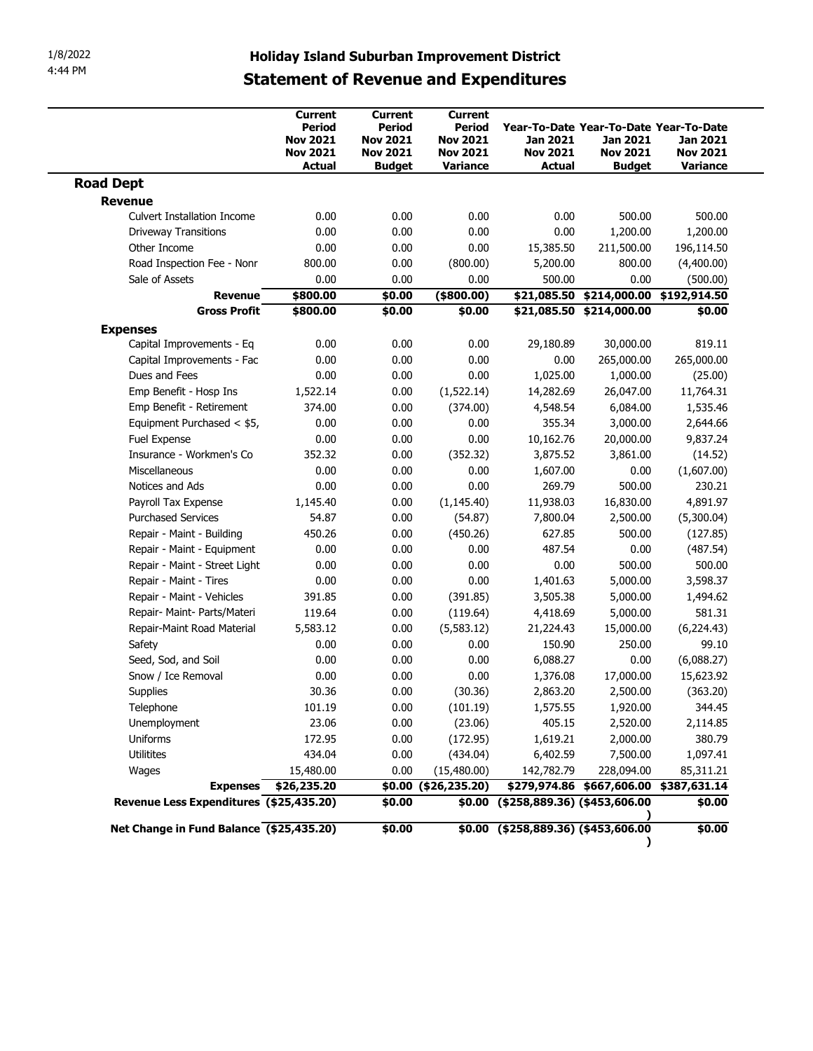| <b>Statement of Revenue and Expenditures</b><br>Current<br><b>Current</b><br>Current<br>Period<br>Period<br>Period<br>Year-To-Date Year-To-Date Year-To-Date<br><b>Nov 2021</b><br><b>Nov 2021</b><br><b>Nov 2021</b><br>Jan 2021<br>Jan 2021<br><b>Nov 2021</b><br><b>Nov 2021</b><br><b>Nov 2021</b><br><b>Nov 2021</b><br><b>Nov 2021</b><br><b>Actual</b><br>Variance<br><b>Actual</b><br><b>Budget</b><br><b>Budget</b><br><b>Revenue</b><br>0.00<br>0.00<br>0.00<br>500.00<br><b>Culvert Installation Income</b><br>0.00<br>0.00<br>0.00<br>1,200.00<br>0.00<br>0.00<br><b>Driveway Transitions</b><br>0.00<br>Other Income<br>0.00<br>0.00<br>15,385.50<br>211,500.00<br>0.00<br>Road Inspection Fee - Nonr<br>800.00<br>(800.00)<br>5,200.00<br>800.00<br>Sale of Assets<br>0.00<br>0.00<br>500.00<br>0.00<br>0.00<br>\$800.00<br>\$0.00<br>$(*800.00)$<br><b>Revenue</b><br>\$800.00<br>\$0.00<br>\$0.00<br>\$21,085.50 \$214,000.00<br><b>Gross Profit</b><br><b>Expenses</b><br>Capital Improvements - Eq<br>0.00<br>0.00<br>0.00<br>29,180.89<br>30,000.00<br>0.00<br>0.00<br>265,000.00<br>0.00<br>0.00<br>Capital Improvements - Fac<br>0.00<br>0.00<br>0.00<br>1,000.00<br>Dues and Fees<br>1,025.00<br>1,522.14<br>Emp Benefit - Hosp Ins<br>0.00<br>14,282.69<br>26,047.00<br>(1,522.14)<br>Emp Benefit - Retirement<br>0.00<br>374.00<br>(374.00)<br>4,548.54<br>6,084.00<br>355.34<br>Equipment Purchased < \$5,<br>0.00<br>0.00<br>0.00<br>3,000.00<br>0.00<br>0.00<br>0.00<br>10,162.76<br>20,000.00<br>Fuel Expense<br>352.32<br>(352.32)<br>3,875.52<br>3,861.00<br>0.00<br>Insurance - Workmen's Co<br>0.00<br>0.00<br>0.00<br>1,607.00<br>0.00<br>Miscellaneous<br>Notices and Ads<br>0.00<br>0.00<br>269.79<br>0.00<br>500.00<br>Payroll Tax Expense<br>1,145.40<br>0.00<br>(1, 145.40)<br>11,938.03<br>16,830.00<br>54.87<br><b>Purchased Services</b><br>0.00<br>(54.87)<br>7,800.04<br>2,500.00<br>Repair - Maint - Building<br>450.26<br>0.00<br>(450.26)<br>627.85<br>500.00<br>487.54<br>0.00<br>Repair - Maint - Equipment<br>0.00<br>0.00<br>0.00<br>0.00<br>Repair - Maint - Street Light<br>0.00<br>0.00<br>0.00<br>500.00<br>0.00<br>Repair - Maint - Tires<br>0.00<br>0.00<br>1,401.63<br>5,000.00<br>Repair - Maint - Vehicles<br>391.85<br>0.00<br>3,505.38<br>5,000.00<br>(391.85)<br>119.64<br>Repair- Maint- Parts/Materi<br>0.00<br>(119.64)<br>4,418.69<br>5,000.00<br>Repair-Maint Road Material<br>5,583.12<br>0.00<br>(5, 583.12)<br>21,224.43<br>15,000.00<br>0.00<br>0.00<br>0.00<br>150.90<br>250.00<br>Safety<br>Seed, Sod, and Soil<br>0.00<br>0.00<br>0.00<br>6,088.27<br>0.00<br>0.00<br>0.00<br>Snow / Ice Removal<br>0.00<br>1,376.08<br>17,000.00<br>Supplies<br>30.36<br>0.00<br>(30.36)<br>2,863.20<br>2,500.00<br>Telephone<br>0.00<br>(101.19)<br>1,575.55<br>1,920.00<br>101.19<br>Unemployment<br>23.06<br>0.00<br>(23.06)<br>405.15<br>2,520.00<br>Uniforms<br>172.95<br>0.00<br>(172.95)<br>1,619.21<br>2,000.00<br>Utilitites<br>434.04<br>0.00<br>6,402.59<br>7,500.00<br>(434.04)<br>0.00<br>15,480.00<br>(15, 480.00)<br>142,782.79<br>228,094.00<br>Wages<br>Expenses \$26,235.20<br>\$0.00 (\$26,235.20)<br>Revenue Less Expenditures (\$25,435.20)<br>\$0.00 (\$258,889.36) (\$453,606.00<br>\$0.00 |                  |  | <b>Holiday Island Suburban Improvement District</b> |  |                                         |
|------------------------------------------------------------------------------------------------------------------------------------------------------------------------------------------------------------------------------------------------------------------------------------------------------------------------------------------------------------------------------------------------------------------------------------------------------------------------------------------------------------------------------------------------------------------------------------------------------------------------------------------------------------------------------------------------------------------------------------------------------------------------------------------------------------------------------------------------------------------------------------------------------------------------------------------------------------------------------------------------------------------------------------------------------------------------------------------------------------------------------------------------------------------------------------------------------------------------------------------------------------------------------------------------------------------------------------------------------------------------------------------------------------------------------------------------------------------------------------------------------------------------------------------------------------------------------------------------------------------------------------------------------------------------------------------------------------------------------------------------------------------------------------------------------------------------------------------------------------------------------------------------------------------------------------------------------------------------------------------------------------------------------------------------------------------------------------------------------------------------------------------------------------------------------------------------------------------------------------------------------------------------------------------------------------------------------------------------------------------------------------------------------------------------------------------------------------------------------------------------------------------------------------------------------------------------------------------------------------------------------------------------------------------------------------------------------------------------------------------------------------------------------------------------------------------------------------------------------------------------------------------------------------------------------------------------------------------------------------------------------------------------------------------------------------------------------------------------------------------------------------------------------------------------------------------------------------------------------------------------------------------------------|------------------|--|-----------------------------------------------------|--|-----------------------------------------|
| 500.00<br>1,200.00<br>196,114.50<br>(4,400.00)<br>(500.00)<br>\$21,085.50 \$214,000.00 \$192,914.50<br>\$0.00<br>819.11<br>265,000.00<br>(25.00)<br>11,764.31<br>1,535.46<br>2,644.66<br>9,837.24<br>(14.52)<br>(1,607.00)<br>230.21<br>4,891.97<br>(5,300.04)<br>(127.85)<br>(487.54)<br>500.00<br>3,598.37<br>\$279,974.86 \$667,606.00 \$387,631.14                                                                                                                                                                                                                                                                                                                                                                                                                                                                                                                                                                                                                                                                                                                                                                                                                                                                                                                                                                                                                                                                                                                                                                                                                                                                                                                                                                                                                                                                                                                                                                                                                                                                                                                                                                                                                                                                                                                                                                                                                                                                                                                                                                                                                                                                                                                                                                                                                                                                                                                                                                                                                                                                                                                                                                                                                                                                                                                       |                  |  |                                                     |  | Jan 2021<br><b>Nov 2021</b><br>Variance |
|                                                                                                                                                                                                                                                                                                                                                                                                                                                                                                                                                                                                                                                                                                                                                                                                                                                                                                                                                                                                                                                                                                                                                                                                                                                                                                                                                                                                                                                                                                                                                                                                                                                                                                                                                                                                                                                                                                                                                                                                                                                                                                                                                                                                                                                                                                                                                                                                                                                                                                                                                                                                                                                                                                                                                                                                                                                                                                                                                                                                                                                                                                                                                                                                                                                                              | <b>Road Dept</b> |  |                                                     |  |                                         |
|                                                                                                                                                                                                                                                                                                                                                                                                                                                                                                                                                                                                                                                                                                                                                                                                                                                                                                                                                                                                                                                                                                                                                                                                                                                                                                                                                                                                                                                                                                                                                                                                                                                                                                                                                                                                                                                                                                                                                                                                                                                                                                                                                                                                                                                                                                                                                                                                                                                                                                                                                                                                                                                                                                                                                                                                                                                                                                                                                                                                                                                                                                                                                                                                                                                                              |                  |  |                                                     |  |                                         |
|                                                                                                                                                                                                                                                                                                                                                                                                                                                                                                                                                                                                                                                                                                                                                                                                                                                                                                                                                                                                                                                                                                                                                                                                                                                                                                                                                                                                                                                                                                                                                                                                                                                                                                                                                                                                                                                                                                                                                                                                                                                                                                                                                                                                                                                                                                                                                                                                                                                                                                                                                                                                                                                                                                                                                                                                                                                                                                                                                                                                                                                                                                                                                                                                                                                                              |                  |  |                                                     |  |                                         |
|                                                                                                                                                                                                                                                                                                                                                                                                                                                                                                                                                                                                                                                                                                                                                                                                                                                                                                                                                                                                                                                                                                                                                                                                                                                                                                                                                                                                                                                                                                                                                                                                                                                                                                                                                                                                                                                                                                                                                                                                                                                                                                                                                                                                                                                                                                                                                                                                                                                                                                                                                                                                                                                                                                                                                                                                                                                                                                                                                                                                                                                                                                                                                                                                                                                                              |                  |  |                                                     |  |                                         |
|                                                                                                                                                                                                                                                                                                                                                                                                                                                                                                                                                                                                                                                                                                                                                                                                                                                                                                                                                                                                                                                                                                                                                                                                                                                                                                                                                                                                                                                                                                                                                                                                                                                                                                                                                                                                                                                                                                                                                                                                                                                                                                                                                                                                                                                                                                                                                                                                                                                                                                                                                                                                                                                                                                                                                                                                                                                                                                                                                                                                                                                                                                                                                                                                                                                                              |                  |  |                                                     |  |                                         |
|                                                                                                                                                                                                                                                                                                                                                                                                                                                                                                                                                                                                                                                                                                                                                                                                                                                                                                                                                                                                                                                                                                                                                                                                                                                                                                                                                                                                                                                                                                                                                                                                                                                                                                                                                                                                                                                                                                                                                                                                                                                                                                                                                                                                                                                                                                                                                                                                                                                                                                                                                                                                                                                                                                                                                                                                                                                                                                                                                                                                                                                                                                                                                                                                                                                                              |                  |  |                                                     |  |                                         |
|                                                                                                                                                                                                                                                                                                                                                                                                                                                                                                                                                                                                                                                                                                                                                                                                                                                                                                                                                                                                                                                                                                                                                                                                                                                                                                                                                                                                                                                                                                                                                                                                                                                                                                                                                                                                                                                                                                                                                                                                                                                                                                                                                                                                                                                                                                                                                                                                                                                                                                                                                                                                                                                                                                                                                                                                                                                                                                                                                                                                                                                                                                                                                                                                                                                                              |                  |  |                                                     |  |                                         |
|                                                                                                                                                                                                                                                                                                                                                                                                                                                                                                                                                                                                                                                                                                                                                                                                                                                                                                                                                                                                                                                                                                                                                                                                                                                                                                                                                                                                                                                                                                                                                                                                                                                                                                                                                                                                                                                                                                                                                                                                                                                                                                                                                                                                                                                                                                                                                                                                                                                                                                                                                                                                                                                                                                                                                                                                                                                                                                                                                                                                                                                                                                                                                                                                                                                                              |                  |  |                                                     |  |                                         |
|                                                                                                                                                                                                                                                                                                                                                                                                                                                                                                                                                                                                                                                                                                                                                                                                                                                                                                                                                                                                                                                                                                                                                                                                                                                                                                                                                                                                                                                                                                                                                                                                                                                                                                                                                                                                                                                                                                                                                                                                                                                                                                                                                                                                                                                                                                                                                                                                                                                                                                                                                                                                                                                                                                                                                                                                                                                                                                                                                                                                                                                                                                                                                                                                                                                                              |                  |  |                                                     |  |                                         |
|                                                                                                                                                                                                                                                                                                                                                                                                                                                                                                                                                                                                                                                                                                                                                                                                                                                                                                                                                                                                                                                                                                                                                                                                                                                                                                                                                                                                                                                                                                                                                                                                                                                                                                                                                                                                                                                                                                                                                                                                                                                                                                                                                                                                                                                                                                                                                                                                                                                                                                                                                                                                                                                                                                                                                                                                                                                                                                                                                                                                                                                                                                                                                                                                                                                                              |                  |  |                                                     |  |                                         |
|                                                                                                                                                                                                                                                                                                                                                                                                                                                                                                                                                                                                                                                                                                                                                                                                                                                                                                                                                                                                                                                                                                                                                                                                                                                                                                                                                                                                                                                                                                                                                                                                                                                                                                                                                                                                                                                                                                                                                                                                                                                                                                                                                                                                                                                                                                                                                                                                                                                                                                                                                                                                                                                                                                                                                                                                                                                                                                                                                                                                                                                                                                                                                                                                                                                                              |                  |  |                                                     |  |                                         |
|                                                                                                                                                                                                                                                                                                                                                                                                                                                                                                                                                                                                                                                                                                                                                                                                                                                                                                                                                                                                                                                                                                                                                                                                                                                                                                                                                                                                                                                                                                                                                                                                                                                                                                                                                                                                                                                                                                                                                                                                                                                                                                                                                                                                                                                                                                                                                                                                                                                                                                                                                                                                                                                                                                                                                                                                                                                                                                                                                                                                                                                                                                                                                                                                                                                                              |                  |  |                                                     |  |                                         |
|                                                                                                                                                                                                                                                                                                                                                                                                                                                                                                                                                                                                                                                                                                                                                                                                                                                                                                                                                                                                                                                                                                                                                                                                                                                                                                                                                                                                                                                                                                                                                                                                                                                                                                                                                                                                                                                                                                                                                                                                                                                                                                                                                                                                                                                                                                                                                                                                                                                                                                                                                                                                                                                                                                                                                                                                                                                                                                                                                                                                                                                                                                                                                                                                                                                                              |                  |  |                                                     |  |                                         |
|                                                                                                                                                                                                                                                                                                                                                                                                                                                                                                                                                                                                                                                                                                                                                                                                                                                                                                                                                                                                                                                                                                                                                                                                                                                                                                                                                                                                                                                                                                                                                                                                                                                                                                                                                                                                                                                                                                                                                                                                                                                                                                                                                                                                                                                                                                                                                                                                                                                                                                                                                                                                                                                                                                                                                                                                                                                                                                                                                                                                                                                                                                                                                                                                                                                                              |                  |  |                                                     |  |                                         |
|                                                                                                                                                                                                                                                                                                                                                                                                                                                                                                                                                                                                                                                                                                                                                                                                                                                                                                                                                                                                                                                                                                                                                                                                                                                                                                                                                                                                                                                                                                                                                                                                                                                                                                                                                                                                                                                                                                                                                                                                                                                                                                                                                                                                                                                                                                                                                                                                                                                                                                                                                                                                                                                                                                                                                                                                                                                                                                                                                                                                                                                                                                                                                                                                                                                                              |                  |  |                                                     |  |                                         |
|                                                                                                                                                                                                                                                                                                                                                                                                                                                                                                                                                                                                                                                                                                                                                                                                                                                                                                                                                                                                                                                                                                                                                                                                                                                                                                                                                                                                                                                                                                                                                                                                                                                                                                                                                                                                                                                                                                                                                                                                                                                                                                                                                                                                                                                                                                                                                                                                                                                                                                                                                                                                                                                                                                                                                                                                                                                                                                                                                                                                                                                                                                                                                                                                                                                                              |                  |  |                                                     |  |                                         |
|                                                                                                                                                                                                                                                                                                                                                                                                                                                                                                                                                                                                                                                                                                                                                                                                                                                                                                                                                                                                                                                                                                                                                                                                                                                                                                                                                                                                                                                                                                                                                                                                                                                                                                                                                                                                                                                                                                                                                                                                                                                                                                                                                                                                                                                                                                                                                                                                                                                                                                                                                                                                                                                                                                                                                                                                                                                                                                                                                                                                                                                                                                                                                                                                                                                                              |                  |  |                                                     |  |                                         |
|                                                                                                                                                                                                                                                                                                                                                                                                                                                                                                                                                                                                                                                                                                                                                                                                                                                                                                                                                                                                                                                                                                                                                                                                                                                                                                                                                                                                                                                                                                                                                                                                                                                                                                                                                                                                                                                                                                                                                                                                                                                                                                                                                                                                                                                                                                                                                                                                                                                                                                                                                                                                                                                                                                                                                                                                                                                                                                                                                                                                                                                                                                                                                                                                                                                                              |                  |  |                                                     |  |                                         |
|                                                                                                                                                                                                                                                                                                                                                                                                                                                                                                                                                                                                                                                                                                                                                                                                                                                                                                                                                                                                                                                                                                                                                                                                                                                                                                                                                                                                                                                                                                                                                                                                                                                                                                                                                                                                                                                                                                                                                                                                                                                                                                                                                                                                                                                                                                                                                                                                                                                                                                                                                                                                                                                                                                                                                                                                                                                                                                                                                                                                                                                                                                                                                                                                                                                                              |                  |  |                                                     |  |                                         |
|                                                                                                                                                                                                                                                                                                                                                                                                                                                                                                                                                                                                                                                                                                                                                                                                                                                                                                                                                                                                                                                                                                                                                                                                                                                                                                                                                                                                                                                                                                                                                                                                                                                                                                                                                                                                                                                                                                                                                                                                                                                                                                                                                                                                                                                                                                                                                                                                                                                                                                                                                                                                                                                                                                                                                                                                                                                                                                                                                                                                                                                                                                                                                                                                                                                                              |                  |  |                                                     |  |                                         |
|                                                                                                                                                                                                                                                                                                                                                                                                                                                                                                                                                                                                                                                                                                                                                                                                                                                                                                                                                                                                                                                                                                                                                                                                                                                                                                                                                                                                                                                                                                                                                                                                                                                                                                                                                                                                                                                                                                                                                                                                                                                                                                                                                                                                                                                                                                                                                                                                                                                                                                                                                                                                                                                                                                                                                                                                                                                                                                                                                                                                                                                                                                                                                                                                                                                                              |                  |  |                                                     |  |                                         |
|                                                                                                                                                                                                                                                                                                                                                                                                                                                                                                                                                                                                                                                                                                                                                                                                                                                                                                                                                                                                                                                                                                                                                                                                                                                                                                                                                                                                                                                                                                                                                                                                                                                                                                                                                                                                                                                                                                                                                                                                                                                                                                                                                                                                                                                                                                                                                                                                                                                                                                                                                                                                                                                                                                                                                                                                                                                                                                                                                                                                                                                                                                                                                                                                                                                                              |                  |  |                                                     |  |                                         |
|                                                                                                                                                                                                                                                                                                                                                                                                                                                                                                                                                                                                                                                                                                                                                                                                                                                                                                                                                                                                                                                                                                                                                                                                                                                                                                                                                                                                                                                                                                                                                                                                                                                                                                                                                                                                                                                                                                                                                                                                                                                                                                                                                                                                                                                                                                                                                                                                                                                                                                                                                                                                                                                                                                                                                                                                                                                                                                                                                                                                                                                                                                                                                                                                                                                                              |                  |  |                                                     |  |                                         |
|                                                                                                                                                                                                                                                                                                                                                                                                                                                                                                                                                                                                                                                                                                                                                                                                                                                                                                                                                                                                                                                                                                                                                                                                                                                                                                                                                                                                                                                                                                                                                                                                                                                                                                                                                                                                                                                                                                                                                                                                                                                                                                                                                                                                                                                                                                                                                                                                                                                                                                                                                                                                                                                                                                                                                                                                                                                                                                                                                                                                                                                                                                                                                                                                                                                                              |                  |  |                                                     |  |                                         |
|                                                                                                                                                                                                                                                                                                                                                                                                                                                                                                                                                                                                                                                                                                                                                                                                                                                                                                                                                                                                                                                                                                                                                                                                                                                                                                                                                                                                                                                                                                                                                                                                                                                                                                                                                                                                                                                                                                                                                                                                                                                                                                                                                                                                                                                                                                                                                                                                                                                                                                                                                                                                                                                                                                                                                                                                                                                                                                                                                                                                                                                                                                                                                                                                                                                                              |                  |  |                                                     |  |                                         |
|                                                                                                                                                                                                                                                                                                                                                                                                                                                                                                                                                                                                                                                                                                                                                                                                                                                                                                                                                                                                                                                                                                                                                                                                                                                                                                                                                                                                                                                                                                                                                                                                                                                                                                                                                                                                                                                                                                                                                                                                                                                                                                                                                                                                                                                                                                                                                                                                                                                                                                                                                                                                                                                                                                                                                                                                                                                                                                                                                                                                                                                                                                                                                                                                                                                                              |                  |  |                                                     |  |                                         |
|                                                                                                                                                                                                                                                                                                                                                                                                                                                                                                                                                                                                                                                                                                                                                                                                                                                                                                                                                                                                                                                                                                                                                                                                                                                                                                                                                                                                                                                                                                                                                                                                                                                                                                                                                                                                                                                                                                                                                                                                                                                                                                                                                                                                                                                                                                                                                                                                                                                                                                                                                                                                                                                                                                                                                                                                                                                                                                                                                                                                                                                                                                                                                                                                                                                                              |                  |  |                                                     |  |                                         |
|                                                                                                                                                                                                                                                                                                                                                                                                                                                                                                                                                                                                                                                                                                                                                                                                                                                                                                                                                                                                                                                                                                                                                                                                                                                                                                                                                                                                                                                                                                                                                                                                                                                                                                                                                                                                                                                                                                                                                                                                                                                                                                                                                                                                                                                                                                                                                                                                                                                                                                                                                                                                                                                                                                                                                                                                                                                                                                                                                                                                                                                                                                                                                                                                                                                                              |                  |  |                                                     |  | 1,494.62                                |
|                                                                                                                                                                                                                                                                                                                                                                                                                                                                                                                                                                                                                                                                                                                                                                                                                                                                                                                                                                                                                                                                                                                                                                                                                                                                                                                                                                                                                                                                                                                                                                                                                                                                                                                                                                                                                                                                                                                                                                                                                                                                                                                                                                                                                                                                                                                                                                                                                                                                                                                                                                                                                                                                                                                                                                                                                                                                                                                                                                                                                                                                                                                                                                                                                                                                              |                  |  |                                                     |  | 581.31                                  |
|                                                                                                                                                                                                                                                                                                                                                                                                                                                                                                                                                                                                                                                                                                                                                                                                                                                                                                                                                                                                                                                                                                                                                                                                                                                                                                                                                                                                                                                                                                                                                                                                                                                                                                                                                                                                                                                                                                                                                                                                                                                                                                                                                                                                                                                                                                                                                                                                                                                                                                                                                                                                                                                                                                                                                                                                                                                                                                                                                                                                                                                                                                                                                                                                                                                                              |                  |  |                                                     |  | (6, 224.43)                             |
|                                                                                                                                                                                                                                                                                                                                                                                                                                                                                                                                                                                                                                                                                                                                                                                                                                                                                                                                                                                                                                                                                                                                                                                                                                                                                                                                                                                                                                                                                                                                                                                                                                                                                                                                                                                                                                                                                                                                                                                                                                                                                                                                                                                                                                                                                                                                                                                                                                                                                                                                                                                                                                                                                                                                                                                                                                                                                                                                                                                                                                                                                                                                                                                                                                                                              |                  |  |                                                     |  | 99.10                                   |
|                                                                                                                                                                                                                                                                                                                                                                                                                                                                                                                                                                                                                                                                                                                                                                                                                                                                                                                                                                                                                                                                                                                                                                                                                                                                                                                                                                                                                                                                                                                                                                                                                                                                                                                                                                                                                                                                                                                                                                                                                                                                                                                                                                                                                                                                                                                                                                                                                                                                                                                                                                                                                                                                                                                                                                                                                                                                                                                                                                                                                                                                                                                                                                                                                                                                              |                  |  |                                                     |  | (6,088.27)                              |
|                                                                                                                                                                                                                                                                                                                                                                                                                                                                                                                                                                                                                                                                                                                                                                                                                                                                                                                                                                                                                                                                                                                                                                                                                                                                                                                                                                                                                                                                                                                                                                                                                                                                                                                                                                                                                                                                                                                                                                                                                                                                                                                                                                                                                                                                                                                                                                                                                                                                                                                                                                                                                                                                                                                                                                                                                                                                                                                                                                                                                                                                                                                                                                                                                                                                              |                  |  |                                                     |  | 15,623.92                               |
|                                                                                                                                                                                                                                                                                                                                                                                                                                                                                                                                                                                                                                                                                                                                                                                                                                                                                                                                                                                                                                                                                                                                                                                                                                                                                                                                                                                                                                                                                                                                                                                                                                                                                                                                                                                                                                                                                                                                                                                                                                                                                                                                                                                                                                                                                                                                                                                                                                                                                                                                                                                                                                                                                                                                                                                                                                                                                                                                                                                                                                                                                                                                                                                                                                                                              |                  |  |                                                     |  | (363.20)                                |
|                                                                                                                                                                                                                                                                                                                                                                                                                                                                                                                                                                                                                                                                                                                                                                                                                                                                                                                                                                                                                                                                                                                                                                                                                                                                                                                                                                                                                                                                                                                                                                                                                                                                                                                                                                                                                                                                                                                                                                                                                                                                                                                                                                                                                                                                                                                                                                                                                                                                                                                                                                                                                                                                                                                                                                                                                                                                                                                                                                                                                                                                                                                                                                                                                                                                              |                  |  |                                                     |  | 344.45                                  |
|                                                                                                                                                                                                                                                                                                                                                                                                                                                                                                                                                                                                                                                                                                                                                                                                                                                                                                                                                                                                                                                                                                                                                                                                                                                                                                                                                                                                                                                                                                                                                                                                                                                                                                                                                                                                                                                                                                                                                                                                                                                                                                                                                                                                                                                                                                                                                                                                                                                                                                                                                                                                                                                                                                                                                                                                                                                                                                                                                                                                                                                                                                                                                                                                                                                                              |                  |  |                                                     |  | 2,114.85                                |
|                                                                                                                                                                                                                                                                                                                                                                                                                                                                                                                                                                                                                                                                                                                                                                                                                                                                                                                                                                                                                                                                                                                                                                                                                                                                                                                                                                                                                                                                                                                                                                                                                                                                                                                                                                                                                                                                                                                                                                                                                                                                                                                                                                                                                                                                                                                                                                                                                                                                                                                                                                                                                                                                                                                                                                                                                                                                                                                                                                                                                                                                                                                                                                                                                                                                              |                  |  |                                                     |  | 380.79                                  |
|                                                                                                                                                                                                                                                                                                                                                                                                                                                                                                                                                                                                                                                                                                                                                                                                                                                                                                                                                                                                                                                                                                                                                                                                                                                                                                                                                                                                                                                                                                                                                                                                                                                                                                                                                                                                                                                                                                                                                                                                                                                                                                                                                                                                                                                                                                                                                                                                                                                                                                                                                                                                                                                                                                                                                                                                                                                                                                                                                                                                                                                                                                                                                                                                                                                                              |                  |  |                                                     |  | 1,097.41                                |
|                                                                                                                                                                                                                                                                                                                                                                                                                                                                                                                                                                                                                                                                                                                                                                                                                                                                                                                                                                                                                                                                                                                                                                                                                                                                                                                                                                                                                                                                                                                                                                                                                                                                                                                                                                                                                                                                                                                                                                                                                                                                                                                                                                                                                                                                                                                                                                                                                                                                                                                                                                                                                                                                                                                                                                                                                                                                                                                                                                                                                                                                                                                                                                                                                                                                              |                  |  |                                                     |  | 85,311.21                               |
|                                                                                                                                                                                                                                                                                                                                                                                                                                                                                                                                                                                                                                                                                                                                                                                                                                                                                                                                                                                                                                                                                                                                                                                                                                                                                                                                                                                                                                                                                                                                                                                                                                                                                                                                                                                                                                                                                                                                                                                                                                                                                                                                                                                                                                                                                                                                                                                                                                                                                                                                                                                                                                                                                                                                                                                                                                                                                                                                                                                                                                                                                                                                                                                                                                                                              |                  |  |                                                     |  |                                         |
|                                                                                                                                                                                                                                                                                                                                                                                                                                                                                                                                                                                                                                                                                                                                                                                                                                                                                                                                                                                                                                                                                                                                                                                                                                                                                                                                                                                                                                                                                                                                                                                                                                                                                                                                                                                                                                                                                                                                                                                                                                                                                                                                                                                                                                                                                                                                                                                                                                                                                                                                                                                                                                                                                                                                                                                                                                                                                                                                                                                                                                                                                                                                                                                                                                                                              |                  |  |                                                     |  | \$0.00                                  |
| Net Change in Fund Balance (\$25,435.20)<br>\$0.00<br>\$0.00 (\$258,889.36) (\$453,606.00                                                                                                                                                                                                                                                                                                                                                                                                                                                                                                                                                                                                                                                                                                                                                                                                                                                                                                                                                                                                                                                                                                                                                                                                                                                                                                                                                                                                                                                                                                                                                                                                                                                                                                                                                                                                                                                                                                                                                                                                                                                                                                                                                                                                                                                                                                                                                                                                                                                                                                                                                                                                                                                                                                                                                                                                                                                                                                                                                                                                                                                                                                                                                                                    |                  |  |                                                     |  | \$0.00                                  |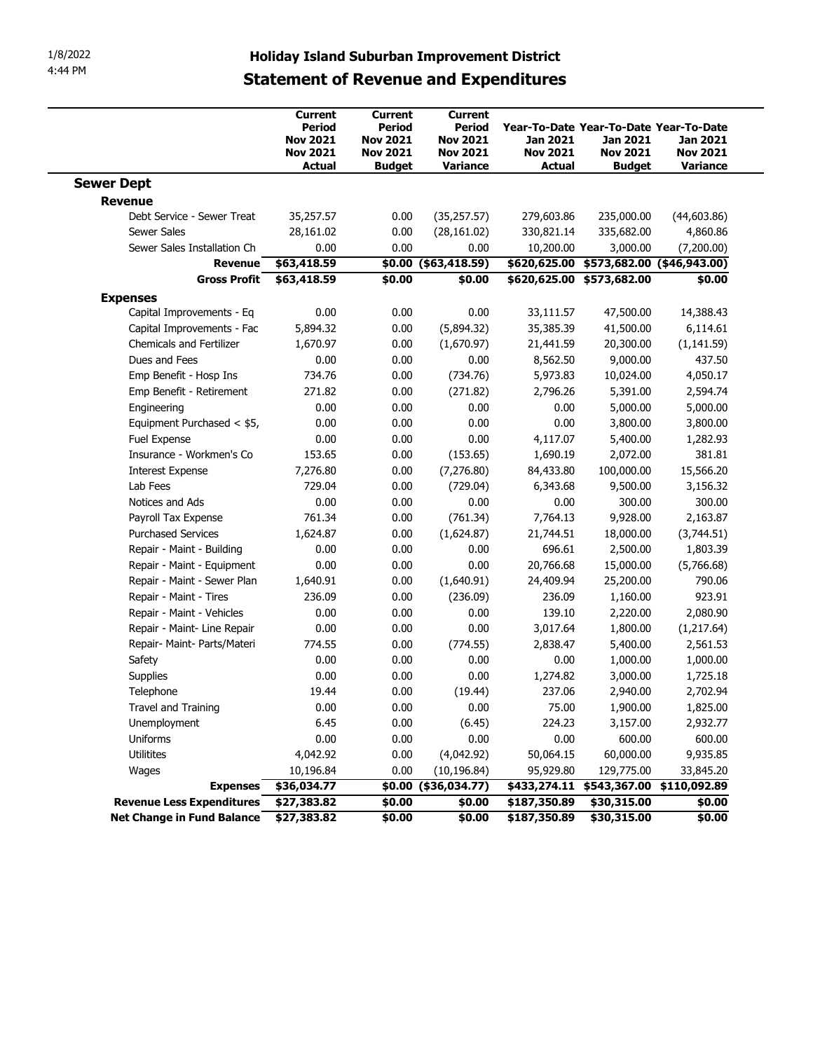|                                                                            | <b>Statement of Revenue and Expenditures</b>                             |                                                                                 | <b>Holiday Island Suburban Improvement District</b>                        |                                                     |                                                                                 |                                         |
|----------------------------------------------------------------------------|--------------------------------------------------------------------------|---------------------------------------------------------------------------------|----------------------------------------------------------------------------|-----------------------------------------------------|---------------------------------------------------------------------------------|-----------------------------------------|
|                                                                            | Current<br>Period<br><b>Nov 2021</b><br><b>Nov 2021</b><br><b>Actual</b> | Current<br><b>Period</b><br><b>Nov 2021</b><br><b>Nov 2021</b><br><b>Budget</b> | <b>Current</b><br>Period<br><b>Nov 2021</b><br><b>Nov 2021</b><br>Variance | <b>Jan 2021</b><br><b>Nov 2021</b><br><b>Actual</b> | Year-To-Date Year-To-Date Year-To-Date<br>Jan 2021<br><b>Nov 2021</b><br>Budget | Jan 2021<br><b>Nov 2021</b><br>Variance |
|                                                                            |                                                                          |                                                                                 |                                                                            |                                                     |                                                                                 |                                         |
| <b>Sewer Dept</b>                                                          |                                                                          |                                                                                 |                                                                            |                                                     |                                                                                 |                                         |
| <b>Revenue</b><br>Debt Service - Sewer Treat                               |                                                                          |                                                                                 |                                                                            |                                                     |                                                                                 |                                         |
| Sewer Sales                                                                | 35,257.57<br>28,161.02                                                   | 0.00<br>0.00                                                                    | (35, 257.57)<br>(28, 161.02)                                               | 279,603.86<br>330,821.14                            | 235,000.00<br>335,682.00                                                        | (44, 603.86)<br>4,860.86                |
| Sewer Sales Installation Ch                                                | 0.00                                                                     | 0.00                                                                            | 0.00                                                                       | 10,200.00                                           | 3,000.00                                                                        | (7,200.00)                              |
| Revenue                                                                    | \$63,418.59                                                              |                                                                                 | \$0.00 (\$63,418.59)                                                       | \$620,625.00                                        | \$573,682.00 (\$46,943.00)                                                      |                                         |
| <b>Gross Profit</b>                                                        | \$63,418.59                                                              | \$0.00                                                                          | \$0.00                                                                     |                                                     | \$620,625.00 \$573,682.00                                                       | \$0.00                                  |
|                                                                            |                                                                          |                                                                                 |                                                                            |                                                     |                                                                                 |                                         |
| <b>Expenses</b><br>Capital Improvements - Eq                               | 0.00                                                                     | 0.00                                                                            | 0.00                                                                       | 33,111.57                                           | 47,500.00                                                                       | 14,388.43                               |
| Capital Improvements - Fac                                                 | 5,894.32                                                                 | 0.00                                                                            | (5,894.32)                                                                 | 35,385.39                                           | 41,500.00                                                                       | 6,114.61                                |
| <b>Chemicals and Fertilizer</b>                                            | 1,670.97                                                                 | 0.00                                                                            | (1,670.97)                                                                 | 21,441.59                                           | 20,300.00                                                                       | (1, 141.59)                             |
| Dues and Fees                                                              | 0.00                                                                     | 0.00                                                                            | 0.00                                                                       | 8,562.50                                            | 9,000.00                                                                        | 437.50                                  |
| Emp Benefit - Hosp Ins                                                     | 734.76                                                                   | 0.00                                                                            | (734.76)                                                                   | 5,973.83                                            | 10,024.00                                                                       | 4,050.17                                |
| Emp Benefit - Retirement                                                   | 271.82                                                                   | 0.00                                                                            | (271.82)                                                                   | 2,796.26                                            | 5,391.00                                                                        | 2,594.74                                |
| Engineering                                                                | 0.00                                                                     | 0.00                                                                            | 0.00                                                                       | 0.00                                                | 5,000.00                                                                        | 5,000.00                                |
| Equipment Purchased < \$5,                                                 | 0.00                                                                     | 0.00                                                                            | 0.00                                                                       | 0.00                                                | 3,800.00                                                                        | 3,800.00                                |
| Fuel Expense                                                               | 0.00                                                                     | 0.00                                                                            | 0.00                                                                       | 4,117.07                                            | 5,400.00                                                                        | 1,282.93                                |
| Insurance - Workmen's Co                                                   | 153.65                                                                   | 0.00                                                                            | (153.65)                                                                   | 1,690.19                                            | 2,072.00                                                                        | 381.81                                  |
| <b>Interest Expense</b>                                                    | 7,276.80                                                                 | 0.00                                                                            | (7, 276.80)                                                                | 84,433.80                                           | 100,000.00                                                                      | 15,566.20                               |
| Lab Fees                                                                   | 729.04                                                                   | 0.00                                                                            | (729.04)                                                                   | 6,343.68                                            | 9,500.00                                                                        | 3,156.32                                |
| Notices and Ads                                                            | 0.00                                                                     | 0.00                                                                            | 0.00                                                                       | 0.00                                                | 300.00                                                                          | 300.00                                  |
| Payroll Tax Expense                                                        | 761.34                                                                   | 0.00                                                                            | (761.34)                                                                   | 7,764.13                                            | 9,928.00                                                                        | 2,163.87                                |
| <b>Purchased Services</b>                                                  | 1,624.87                                                                 | 0.00                                                                            | (1,624.87)                                                                 | 21,744.51                                           | 18,000.00                                                                       | (3,744.51)                              |
| Repair - Maint - Building                                                  | 0.00                                                                     | 0.00                                                                            | 0.00                                                                       | 696.61                                              | 2,500.00                                                                        | 1,803.39                                |
|                                                                            |                                                                          |                                                                                 |                                                                            |                                                     | 15,000.00                                                                       |                                         |
| Repair - Maint - Equipment<br>Repair - Maint - Sewer Plan                  | 0.00<br>1,640.91                                                         | 0.00                                                                            | 0.00                                                                       | 20,766.68<br>24,409.94                              | 25,200.00                                                                       | (5,766.68)<br>790.06                    |
| Repair - Maint - Tires                                                     | 236.09                                                                   | 0.00<br>0.00                                                                    | (1,640.91)                                                                 | 236.09                                              | 1,160.00                                                                        | 923.91                                  |
|                                                                            |                                                                          |                                                                                 | (236.09)                                                                   |                                                     |                                                                                 |                                         |
| Repair - Maint - Vehicles                                                  | 0.00                                                                     | 0.00                                                                            | 0.00                                                                       | 139.10                                              | 2,220.00                                                                        | 2,080.90                                |
| Repair - Maint- Line Repair                                                | 0.00                                                                     | 0.00                                                                            | 0.00                                                                       | 3,017.64                                            | 1,800.00                                                                        | (1,217.64)                              |
| Repair- Maint- Parts/Materi                                                | 774.55                                                                   | 0.00                                                                            | (774.55)                                                                   | 2,838.47                                            | 5,400.00                                                                        | 2,561.53                                |
| Safety                                                                     | 0.00                                                                     | 0.00                                                                            | 0.00                                                                       | 0.00                                                | 1,000.00                                                                        | 1,000.00                                |
| Supplies                                                                   | 0.00                                                                     | 0.00                                                                            | 0.00                                                                       | 1,274.82                                            | 3,000.00                                                                        | 1,725.18                                |
| Telephone                                                                  | 19.44                                                                    | 0.00                                                                            | (19.44)                                                                    | 237.06                                              | 2,940.00                                                                        | 2,702.94                                |
| Travel and Training                                                        | 0.00                                                                     | 0.00                                                                            | 0.00                                                                       | 75.00                                               | 1,900.00                                                                        | 1,825.00                                |
| Unemployment                                                               | 6.45                                                                     | 0.00                                                                            | (6.45)                                                                     | 224.23                                              | 3,157.00                                                                        | 2,932.77                                |
| Uniforms                                                                   | 0.00                                                                     | 0.00                                                                            | 0.00                                                                       | 0.00                                                | 600.00                                                                          | 600.00                                  |
| Utilitites                                                                 | 4,042.92                                                                 | 0.00                                                                            | (4,042.92)                                                                 | 50,064.15                                           | 60,000.00                                                                       | 9,935.85                                |
| Wages                                                                      | 10,196.84                                                                | 0.00                                                                            | (10, 196.84)                                                               | 95,929.80                                           | 129,775.00                                                                      | 33,845.20                               |
| <b>Expenses</b>                                                            | \$36,034.77                                                              |                                                                                 | \$0.00 (\$36,034.77)                                                       |                                                     | \$433,274.11 \$543,367.00 \$110,092.89                                          |                                         |
| <b>Revenue Less Expenditures</b><br>Net Change in Fund Balance \$27,383.82 | \$27,383.82                                                              | \$0.00<br>\$0.00                                                                | \$0.00                                                                     | \$187,350.89                                        | \$30,315.00                                                                     | \$0.00                                  |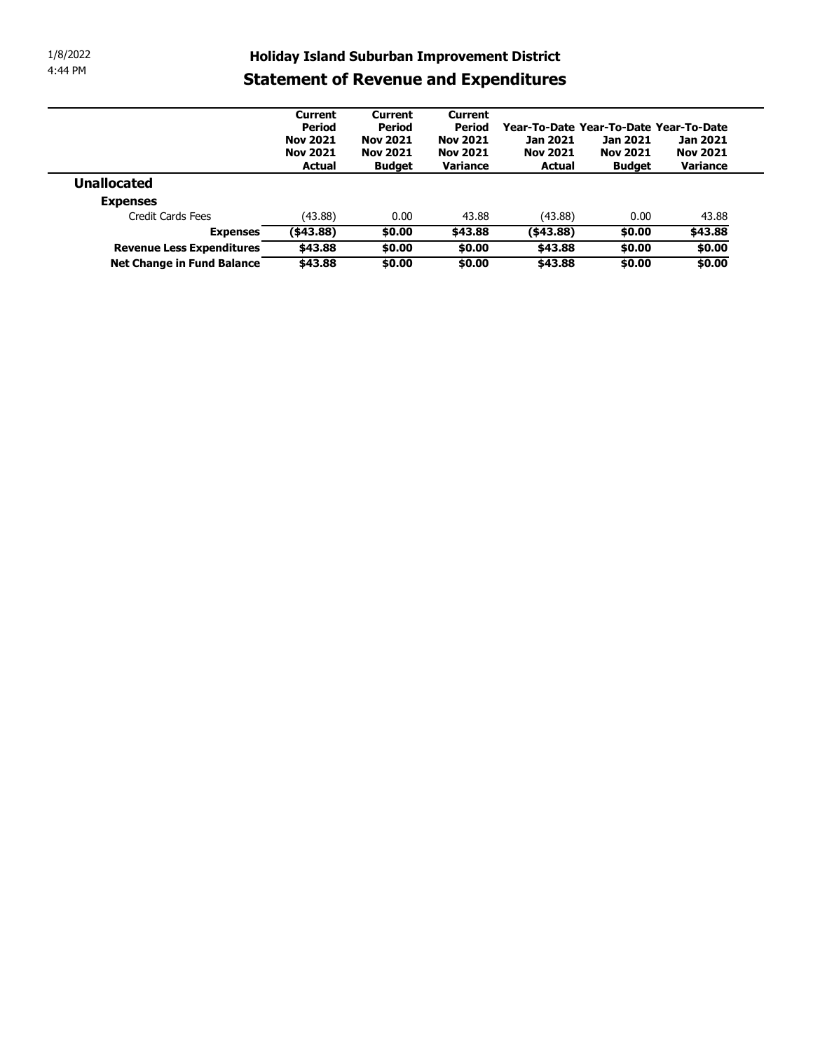| 1/8/2022 |                                              |                                                     |                                 |                          |                                        |                  |                   |
|----------|----------------------------------------------|-----------------------------------------------------|---------------------------------|--------------------------|----------------------------------------|------------------|-------------------|
| 4:44 PM  |                                              | <b>Holiday Island Suburban Improvement District</b> |                                 |                          |                                        |                  |                   |
|          |                                              | <b>Statement of Revenue and Expenditures</b>        |                                 |                          |                                        |                  |                   |
|          |                                              |                                                     |                                 |                          |                                        |                  |                   |
|          |                                              | Current<br><b>Period</b>                            | <b>Current</b><br><b>Period</b> | <b>Current</b><br>Period | Year-To-Date Year-To-Date Year-To-Date |                  |                   |
|          |                                              | <b>Nov 2021</b>                                     | <b>Nov 2021</b>                 | <b>Nov 2021</b>          | Jan 2021                               | Jan 2021         | Jan 2021          |
|          |                                              |                                                     | <b>Nov 2021</b>                 | <b>Nov 2021</b>          | <b>Nov 2021</b>                        | <b>Nov 2021</b>  | <b>Nov 2021</b>   |
|          |                                              | <b>Nov 2021</b>                                     |                                 |                          |                                        |                  |                   |
|          |                                              | <b>Actual</b>                                       | <b>Budget</b>                   | Variance                 | <b>Actual</b>                          | <b>Budget</b>    | Variance          |
|          | <b>Unallocated</b>                           |                                                     |                                 |                          |                                        |                  |                   |
|          | <b>Expenses</b>                              |                                                     |                                 |                          |                                        |                  |                   |
|          | Credit Cards Fees                            | (43.88)                                             | 0.00                            | 43.88                    | (43.88)                                | 0.00             | 43.88             |
|          | <b>Expenses</b><br>Revenue Less Expenditures | ( \$43.88)<br>\$43.88                               | \$0.00<br>\$0.00                | \$43.88<br>\$0.00        | ( \$43.88)<br>\$43.88                  | \$0.00<br>\$0.00 | \$43.88<br>\$0.00 |